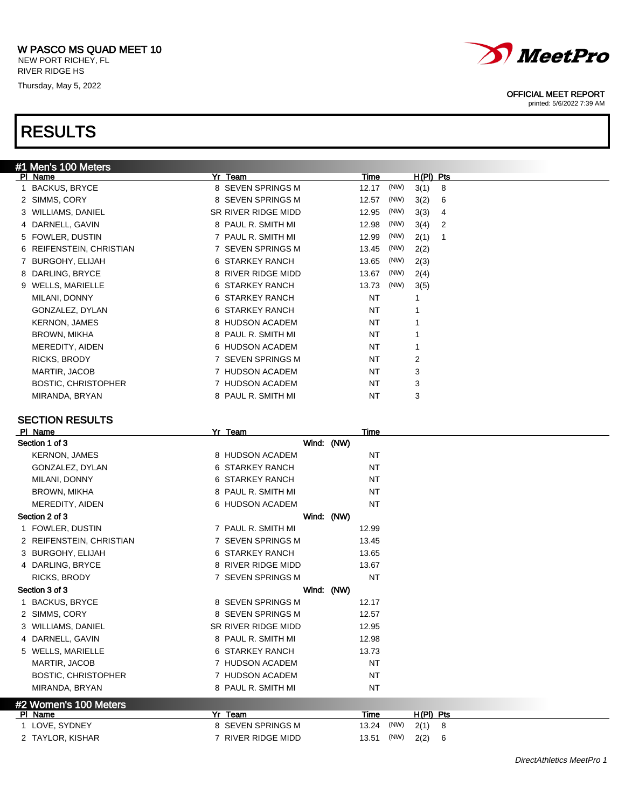### W PASCO MS QUAD MEET 10 NEW PORT RICHEY, FL

RIVER RIDGE HS

Thursday, May 5, 2022



### OFFICIAL MEET REPORT

printed: 5/6/2022 7:39 AM

## RESULTS

|   | #1 Men's 100 Meters        |                     |               |             |
|---|----------------------------|---------------------|---------------|-------------|
|   | PI Name                    | Yr Team             | Time          | $H(PI)$ Pts |
|   | <b>BACKUS, BRYCE</b>       | 8 SEVEN SPRINGS M   | (NW)<br>12.17 | 3(1)<br>8   |
|   | 2 SIMMS, CORY              | 8 SEVEN SPRINGS M   | (NW)<br>12.57 | 3(2)<br>6   |
|   | 3 WILLIAMS, DANIEL         | SR RIVER RIDGE MIDD | (NW)<br>12.95 | 3(3)<br>4   |
|   | 4 DARNELL, GAVIN           | 8 PAUL R. SMITH MI  | (NW)<br>12.98 | 3(4)<br>-2  |
|   | 5 FOWLER, DUSTIN           | 7 PAUL R. SMITH MI  | (NW)<br>12.99 | 2(1)        |
|   | 6 REIFENSTEIN, CHRISTIAN   | 7 SEVEN SPRINGS M   | (NW)<br>13.45 | 2(2)        |
|   | <b>BURGOHY, ELIJAH</b>     | 6 STARKEY RANCH     | (NW)<br>13.65 | 2(3)        |
| 8 | DARLING, BRYCE             | 8 RIVER RIDGE MIDD  | (NW)<br>13.67 | 2(4)        |
|   | 9 WELLS, MARIELLE          | 6 STARKEY RANCH     | (NW)<br>13.73 | 3(5)        |
|   | MILANI, DONNY              | 6 STARKEY RANCH     | NT            | 1           |
|   | GONZALEZ, DYLAN            | 6 STARKEY RANCH     | NT            | 1           |
|   | <b>KERNON, JAMES</b>       | 8 HUDSON ACADEM     | NT            | 1           |
|   | <b>BROWN, MIKHA</b>        | 8 PAUL R. SMITH MI  | NT            | 1           |
|   | MEREDITY, AIDEN            | 6 HUDSON ACADEM     | NT            | 1           |
|   | RICKS, BRODY               | 7 SEVEN SPRINGS M   | NT            | 2           |
|   | MARTIR, JACOB              | 7 HUDSON ACADEM     | NT            | 3           |
|   | <b>BOSTIC, CHRISTOPHER</b> | 7 HUDSON ACADEM     | NT            | 3           |
|   | MIRANDA, BRYAN             | 8 PAUL R. SMITH MI  | NT            | 3           |
|   |                            |                     |               |             |

| PI Name                    | Yr_Team             | Time      |      |             |   |  |  |  |
|----------------------------|---------------------|-----------|------|-------------|---|--|--|--|
| Section 1 of 3             | Wind: (NW)          |           |      |             |   |  |  |  |
| <b>KERNON, JAMES</b>       | 8 HUDSON ACADEM     | <b>NT</b> |      |             |   |  |  |  |
| GONZALEZ, DYLAN            | 6 STARKEY RANCH     | NT        |      |             |   |  |  |  |
| MILANI, DONNY              | 6 STARKEY RANCH     | NT        |      |             |   |  |  |  |
| <b>BROWN, MIKHA</b>        | 8 PAUL R. SMITH MI  | NT        |      |             |   |  |  |  |
| MEREDITY, AIDEN            | 6 HUDSON ACADEM     | <b>NT</b> |      |             |   |  |  |  |
| Section 2 of 3             | Wind: (NW)          |           |      |             |   |  |  |  |
| 1 FOWLER, DUSTIN           | 7 PAUL R. SMITH MI  | 12.99     |      |             |   |  |  |  |
| 2 REIFENSTEIN, CHRISTIAN   | 7 SEVEN SPRINGS M   | 13.45     |      |             |   |  |  |  |
| 3 BURGOHY, ELIJAH          | 6 STARKEY RANCH     | 13.65     |      |             |   |  |  |  |
| 4 DARLING, BRYCE           | 8 RIVER RIDGE MIDD  | 13.67     |      |             |   |  |  |  |
| <b>RICKS, BRODY</b>        | 7 SEVEN SPRINGS M   | <b>NT</b> |      |             |   |  |  |  |
| Section 3 of 3             | Wind: (NW)          |           |      |             |   |  |  |  |
| 1 BACKUS, BRYCE            | 8 SEVEN SPRINGS M   | 12.17     |      |             |   |  |  |  |
| 2 SIMMS, CORY              | 8 SEVEN SPRINGS M   | 12.57     |      |             |   |  |  |  |
| 3 WILLIAMS, DANIEL         | SR RIVER RIDGE MIDD | 12.95     |      |             |   |  |  |  |
| 4 DARNELL, GAVIN           | 8 PAUL R. SMITH MI  | 12.98     |      |             |   |  |  |  |
| 5 WELLS, MARIELLE          | 6 STARKEY RANCH     | 13.73     |      |             |   |  |  |  |
| MARTIR, JACOB              | 7 HUDSON ACADEM     | <b>NT</b> |      |             |   |  |  |  |
| <b>BOSTIC, CHRISTOPHER</b> | 7 HUDSON ACADEM     | <b>NT</b> |      |             |   |  |  |  |
| MIRANDA, BRYAN             | 8 PAUL R. SMITH MI  | NT        |      |             |   |  |  |  |
| #2 Women's 100 Meters      |                     |           |      |             |   |  |  |  |
| PI Name                    | Yr Team             | Time      |      | $H(PI)$ Pts |   |  |  |  |
| 1 LOVE, SYDNEY             | 8 SEVEN SPRINGS M   | 13.24     | (NW) | 2(1)        | 8 |  |  |  |
| 2 TAYLOR, KISHAR           | 7 RIVER RIDGE MIDD  | 13.51     | (NW) | 2(2)        | 6 |  |  |  |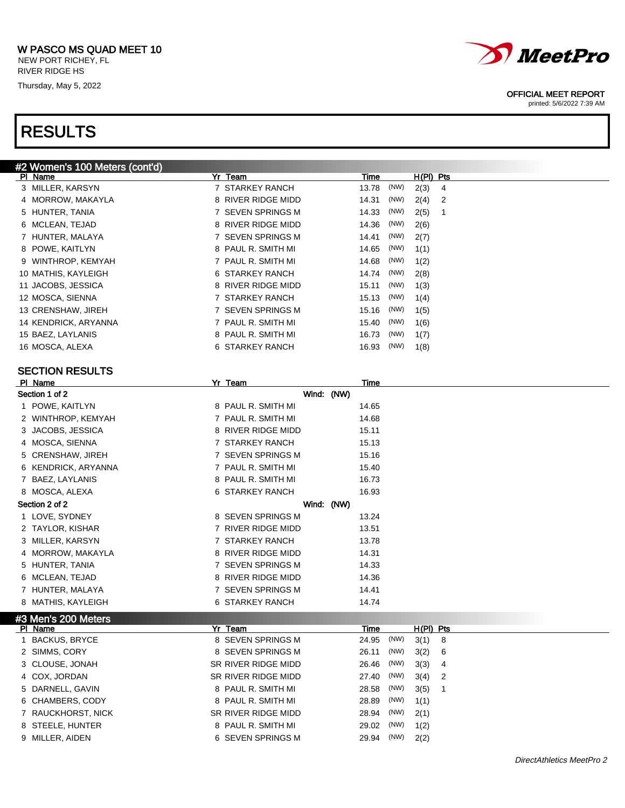### W PASCO MS QUAD MEET 10 NEW PORT RICHEY, FL

RIVER RIDGE HS Thursday, May 5, 2022

## RESULTS



### OFFICIAL MEET REPORT

printed: 5/6/2022 7:39 AM

| #2 Women's 100 Meters (cont'd) |                    |                              |
|--------------------------------|--------------------|------------------------------|
| PI Name                        | Yr Team            | $H(PI)$ Pts<br>Time          |
| 3 MILLER, KARSYN               | 7 STARKEY RANCH    | (NW)<br>2(3)<br>13.78<br>4   |
| 4 MORROW, MAKAYLA              | 8 RIVER RIDGE MIDD | (NW)<br>14.31<br>2(4)<br>- 2 |
| 5 HUNTER, TANIA                | 7 SEVEN SPRINGS M  | (NW)<br>2(5)<br>14.33        |
| 6 MCLEAN, TEJAD                | 8 RIVER RIDGE MIDD | (NW)<br>14.36<br>2(6)        |
| 7 HUNTER, MALAYA               | 7 SEVEN SPRINGS M  | (NW)<br>14.41<br>2(7)        |
| 8 POWE, KAITLYN                | 8 PAUL R. SMITH MI | (NW)<br>14.65<br>1(1)        |
| 9 WINTHROP, KEMYAH             | 7 PAUL R. SMITH MI | (NW)<br>14.68<br>1(2)        |
| 10 MATHIS, KAYLEIGH            | 6 STARKEY RANCH    | (NW)<br>14.74<br>2(8)        |
| 11 JACOBS, JESSICA             | 8 RIVER RIDGE MIDD | (NW)<br>15.11<br>1(3)        |
| 12 MOSCA, SIENNA               | 7 STARKEY RANCH    | (NW)<br>15.13<br>1(4)        |
| 13 CRENSHAW, JIREH             | 7 SEVEN SPRINGS M  | (NW)<br>15.16<br>1(5)        |
| 14 KENDRICK, ARYANNA           | 7 PAUL R. SMITH MI | (NW)<br>15.40<br>1(6)        |
| 15 BAEZ, LAYLANIS              | 8 PAUL R. SMITH MI | (NW)<br>16.73<br>1(7)        |
| 16 MOSCA, ALEXA                | 6 STARKEY RANCH    | (NW)<br>16.93<br>1(8)        |
|                                |                    |                              |

| PI Name              | Yr Team                     | Time                       |  |
|----------------------|-----------------------------|----------------------------|--|
| Section 1 of 2       | Wind: (NW)                  |                            |  |
| 1 POWE, KAITLYN      | 8 PAUL R. SMITH MI          | 14.65                      |  |
| 2 WINTHROP, KEMYAH   | 7 PAUL R. SMITH MI          | 14.68                      |  |
| 3 JACOBS, JESSICA    | 8 RIVER RIDGE MIDD          | 15.11                      |  |
| 4 MOSCA, SIENNA      | 7 STARKEY RANCH             | 15.13                      |  |
| 5 CRENSHAW, JIREH    | 7 SEVEN SPRINGS M           | 15.16                      |  |
| 6 KENDRICK, ARYANNA  | 7 PAUL R. SMITH MI          | 15.40                      |  |
| BAEZ, LAYLANIS<br>7  | 8 PAUL R. SMITH MI          | 16.73                      |  |
| 8 MOSCA, ALEXA       | 6 STARKEY RANCH             | 16.93                      |  |
| Section 2 of 2       | Wind: (NW)                  |                            |  |
| 1 LOVE, SYDNEY       | 8 SEVEN SPRINGS M           | 13.24                      |  |
| 2 TAYLOR, KISHAR     | 7 RIVER RIDGE MIDD          | 13.51                      |  |
| 3 MILLER, KARSYN     | 7 STARKEY RANCH             | 13.78                      |  |
| 4 MORROW, MAKAYLA    | 8 RIVER RIDGE MIDD          | 14.31                      |  |
| 5 HUNTER, TANIA      | 7 SEVEN SPRINGS M           | 14.33                      |  |
| 6 MCLEAN, TEJAD      | 8 RIVER RIDGE MIDD          | 14.36                      |  |
| 7 HUNTER, MALAYA     | 7 SEVEN SPRINGS M           | 14.41                      |  |
| 8 MATHIS, KAYLEIGH   | 6 STARKEY RANCH             | 14.74                      |  |
| #3 Men's 200 Meters  |                             |                            |  |
| PI Name              | Yr Team                     | Time<br>$H(PI)$ Pts        |  |
| <b>BACKUS, BRYCE</b> | <b>SEVEN SPRINGS M</b><br>8 | (NW)<br>24.95<br>3(1)<br>8 |  |

|                      |                     | .             |                                    |
|----------------------|---------------------|---------------|------------------------------------|
| <b>BACKUS, BRYCE</b> | 8 SEVEN SPRINGS M   | (NW)<br>24.95 | 3(1)<br>- 8                        |
| 2 SIMMS, CORY        | 8 SEVEN SPRINGS M   | (NW)<br>26.11 | 3(2)<br>- 6                        |
| 3 CLOUSE, JONAH      | SR RIVER RIDGE MIDD | (NW)<br>26.46 | 3(3)<br>$\overline{4}$             |
| 4 COX, JORDAN        | SR RIVER RIDGE MIDD | (NW)<br>27.40 | 3(4)<br>$\overline{\phantom{0}}^2$ |
| 5 DARNELL, GAVIN     | 8 PAUL R. SMITH MI  | (NW)<br>28.58 | 3(5)                               |
| 6 CHAMBERS, CODY     | 8 PAUL R. SMITH MI  | (NW)<br>28.89 | 1(1)                               |
| 7 RAUCKHORST, NICK   | SR RIVER RIDGE MIDD | (NW)<br>28.94 | 2(1)                               |
| 8 STEELE, HUNTER     | 8 PAUL R. SMITH MI  | (NW)<br>29.02 | 1(2)                               |
| 9 MILLER, AIDEN      | 6 SEVEN SPRINGS M   | (NW)<br>29.94 | 2(2)                               |
|                      |                     |               |                                    |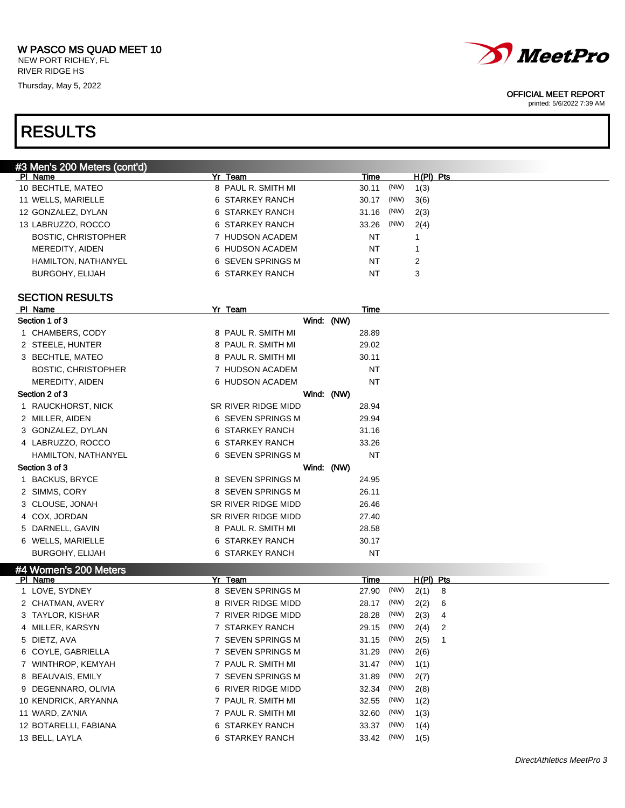NEW PORT RICHEY, FL RIVER RIDGE HS

Thursday, May 5, 2022



### OFFICIAL MEET REPORT

printed: 5/6/2022 7:39 AM

## RESULTS

| #3 Men's 200 Meters (cont'd) |                    |               |             |
|------------------------------|--------------------|---------------|-------------|
| PI Name                      | Yr Team            | Time          | $H(PI)$ Pts |
| 10 BECHTLE, MATEO            | 8 PAUL R. SMITH MI | (NW)<br>30.11 | 1(3)        |
| 11 WELLS, MARIELLE           | 6 STARKEY RANCH    | (NW)<br>30.17 | 3(6)        |
| 12 GONZALEZ, DYLAN           | 6 STARKEY RANCH    | (NW)<br>31.16 | 2(3)        |
| 13 LABRUZZO, ROCCO           | 6 STARKEY RANCH    | (NW)<br>33.26 | 2(4)        |
| <b>BOSTIC, CHRISTOPHER</b>   | 7 HUDSON ACADEM    | NT            |             |
| MEREDITY, AIDEN              | 6 HUDSON ACADEM    | NT            |             |
| HAMILTON, NATHANYEL          | 6 SEVEN SPRINGS M  | NT            | 2           |
| BURGOHY, ELIJAH              | 6 STARKEY RANCH    | NT            | 3           |
|                              |                    |               |             |

| PI Name                    | Yr Team             | Time        |      |             |   |  |  |
|----------------------------|---------------------|-------------|------|-------------|---|--|--|
| Section 1 of 3             | Wind: (NW)          |             |      |             |   |  |  |
| 1 CHAMBERS, CODY           | 8 PAUL R. SMITH MI  | 28.89       |      |             |   |  |  |
| 2 STEELE, HUNTER           | 8 PAUL R. SMITH MI  | 29.02       |      |             |   |  |  |
| 3 BECHTLE, MATEO           | 8 PAUL R. SMITH MI  | 30.11       |      |             |   |  |  |
| <b>BOSTIC, CHRISTOPHER</b> | 7 HUDSON ACADEM     | <b>NT</b>   |      |             |   |  |  |
| MEREDITY, AIDEN            | 6 HUDSON ACADEM     | <b>NT</b>   |      |             |   |  |  |
| Section 2 of 3             | Wind: (NW)          |             |      |             |   |  |  |
| 1 RAUCKHORST, NICK         | SR RIVER RIDGE MIDD | 28.94       |      |             |   |  |  |
| 2 MILLER, AIDEN            | 6 SEVEN SPRINGS M   | 29.94       |      |             |   |  |  |
| 3 GONZALEZ, DYLAN          | 6 STARKEY RANCH     | 31.16       |      |             |   |  |  |
| 4 LABRUZZO, ROCCO          | 6 STARKEY RANCH     | 33.26       |      |             |   |  |  |
| HAMILTON, NATHANYEL        | 6 SEVEN SPRINGS M   | <b>NT</b>   |      |             |   |  |  |
| Section 3 of 3             | Wind: (NW)          |             |      |             |   |  |  |
| 1 BACKUS, BRYCE            | 8 SEVEN SPRINGS M   | 24.95       |      |             |   |  |  |
| 2 SIMMS, CORY              | 8 SEVEN SPRINGS M   | 26.11       |      |             |   |  |  |
| 3 CLOUSE, JONAH            | SR RIVER RIDGE MIDD | 26.46       |      |             |   |  |  |
| 4 COX, JORDAN              | SR RIVER RIDGE MIDD | 27.40       |      |             |   |  |  |
| 5 DARNELL, GAVIN           | 8 PAUL R. SMITH MI  | 28.58       |      |             |   |  |  |
| 6 WELLS, MARIELLE          | 6 STARKEY RANCH     | 30.17       |      |             |   |  |  |
| <b>BURGOHY, ELIJAH</b>     | 6 STARKEY RANCH     | <b>NT</b>   |      |             |   |  |  |
| #4 Women's 200 Meters      |                     |             |      |             |   |  |  |
| PI Name                    | Yr Team             | <b>Time</b> |      | $H(PI)$ Pts |   |  |  |
| 1 LOVE, SYDNEY             | 8 SEVEN SPRINGS M   | 27.90       | (NW) | 2(1)        | 8 |  |  |
| 2 CHATMAN, AVERY           | 8 RIVER RIDGE MIDD  | 28.17       | (NW) | 2(2)        | 6 |  |  |
| 3 TAYLOR, KISHAR           | 7 RIVER RIDGE MIDD  | 28.28       | (NW) | 2(3)        | 4 |  |  |
| 4 MILLER, KARSYN           | 7 STARKEY RANCH     | 29.15       | (NW) | 2(4)        | 2 |  |  |
| 5 DIETZ, AVA               | 7 SEVEN SPRINGS M   | 31.15       | (NW) | 2(5)        | 1 |  |  |
| 6 COYLE, GABRIELLA         | 7 SEVEN SPRINGS M   | 31.29       | (NW) | 2(6)        |   |  |  |
| 7 WINTHROP, KEMYAH         | 7 PAUL R. SMITH MI  | 31.47       | (NW) | 1(1)        |   |  |  |
| 8 BEAUVAIS, EMILY          | 7 SEVEN SPRINGS M   | 31.89       | (NW) | 2(7)        |   |  |  |
| 9 DEGENNARO, OLIVIA        | 6 RIVER RIDGE MIDD  | 32.34       | (NW) | 2(8)        |   |  |  |
| 10 KENDRICK, ARYANNA       | 7 PAUL R. SMITH MI  | 32.55       | (NW) | 1(2)        |   |  |  |
| 11 WARD, ZA'NIA            | 7 PAUL R. SMITH MI  | 32.60       | (NW) | 1(3)        |   |  |  |
| 12 BOTARELLI, FABIANA      | 6 STARKEY RANCH     | 33.37       | (NW) | 1(4)        |   |  |  |
| 13 BELL, LAYLA             | 6 STARKEY RANCH     | 33.42       | (NW) | 1(5)        |   |  |  |
|                            |                     |             |      |             |   |  |  |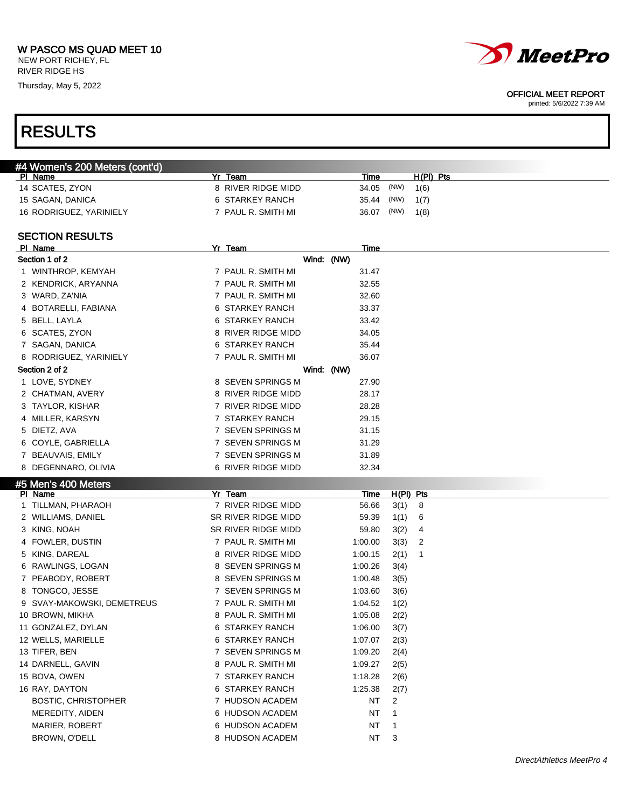NEW PORT RICHEY, FL RIVER RIDGE HS

Thursday, May 5, 2022



### OFFICIAL MEET REPORT

printed: 5/6/2022 7:39 AM

| #4 Women's 200 Meters (cont'd) |                                        |                      |                |  |
|--------------------------------|----------------------------------------|----------------------|----------------|--|
| PI Name                        | Yr Team                                | <u>Time</u>          | $H(PI)$ Pts    |  |
| 14 SCATES, ZYON                | 8 RIVER RIDGE MIDD                     | 34.05                | (NW)<br>1(6)   |  |
| 15 SAGAN, DANICA               | 6 STARKEY RANCH                        | 35.44                | (NW)<br>1(7)   |  |
| 16 RODRIGUEZ, YARINIELY        | 7 PAUL R. SMITH MI                     | 36.07                | (NW)<br>1(8)   |  |
|                                |                                        |                      |                |  |
| <b>SECTION RESULTS</b>         |                                        |                      |                |  |
| PI Name                        | Yr Team                                | Time                 |                |  |
| Section 1 of 2                 |                                        | Wind: (NW)           |                |  |
| 1 WINTHROP, KEMYAH             | 7 PAUL R. SMITH MI                     | 31.47                |                |  |
| 2 KENDRICK, ARYANNA            | 7 PAUL R. SMITH MI                     | 32.55                |                |  |
| 3 WARD, ZA'NIA                 | 7 PAUL R. SMITH MI                     | 32.60                |                |  |
| 4 BOTARELLI, FABIANA           | 6 STARKEY RANCH                        | 33.37                |                |  |
| 5 BELL, LAYLA                  | 6 STARKEY RANCH                        | 33.42                |                |  |
| 6 SCATES, ZYON                 | 8 RIVER RIDGE MIDD                     | 34.05                |                |  |
| 7 SAGAN, DANICA                | 6 STARKEY RANCH                        | 35.44                |                |  |
| 8 RODRIGUEZ, YARINIELY         | 7 PAUL R. SMITH MI                     | 36.07                |                |  |
| Section 2 of 2                 |                                        | Wind: (NW)           |                |  |
| 1 LOVE, SYDNEY                 | 8 SEVEN SPRINGS M                      | 27.90                |                |  |
| 2 CHATMAN, AVERY               | 8 RIVER RIDGE MIDD                     | 28.17                |                |  |
| 3 TAYLOR, KISHAR               | 7 RIVER RIDGE MIDD                     | 28.28                |                |  |
| 4 MILLER, KARSYN               | 7 STARKEY RANCH                        | 29.15                |                |  |
| 5 DIETZ, AVA                   | 7 SEVEN SPRINGS M                      | 31.15                |                |  |
| 6 COYLE, GABRIELLA             | 7 SEVEN SPRINGS M                      | 31.29                |                |  |
| 7 BEAUVAIS, EMILY              | 7 SEVEN SPRINGS M                      | 31.89                |                |  |
| 8 DEGENNARO, OLIVIA            | 6 RIVER RIDGE MIDD                     | 32.34                |                |  |
|                                |                                        |                      |                |  |
| #5 Men's 400 Meters<br>PI Name | Yr Team                                |                      | H(PI) Pts      |  |
| 1 TILLMAN, PHARAOH             | 7 RIVER RIDGE MIDD                     | <u>Time</u><br>56.66 | 8<br>3(1)      |  |
| 2 WILLIAMS, DANIEL             | SR RIVER RIDGE MIDD                    | 59.39                | 1(1)<br>6      |  |
| 3 KING, NOAH                   | SR RIVER RIDGE MIDD                    | 59.80                | 3(2)<br>4      |  |
| 4 FOWLER, DUSTIN               | 7 PAUL R. SMITH MI                     | 1:00.00              | 2              |  |
|                                | 8 RIVER RIDGE MIDD                     |                      | 3(3)           |  |
| 5 KING, DAREAL                 |                                        | 1:00.15              | 2(1)<br>1      |  |
| 6 RAWLINGS, LOGAN              | 8 SEVEN SPRINGS M<br>8 SEVEN SPRINGS M | 1:00.26              | 3(4)           |  |
| 7 PEABODY, ROBERT              |                                        | 1:00.48              | 3(5)           |  |
| 8 TONGCO, JESSE                | 7 SEVEN SPRINGS M                      | 1:03.60              | 3(6)           |  |
| 9 SVAY-MAKOWSKI, DEMETREUS     | 7 PAUL R. SMITH MI                     | 1:04.52              | 1(2)           |  |
| 10 BROWN, MIKHA                | 8 PAUL R. SMITH MI                     | 1:05.08              | 2(2)           |  |
| 11 GONZALEZ, DYLAN             | 6 STARKEY RANCH                        | 1:06.00              | 3(7)           |  |
| 12 WELLS, MARIELLE             | 6 STARKEY RANCH                        | 1:07.07              | 2(3)           |  |
| 13 TIFER, BEN                  | 7 SEVEN SPRINGS M                      | 1:09.20              | 2(4)           |  |
| 14 DARNELL, GAVIN              | 8 PAUL R. SMITH MI                     | 1:09.27              | 2(5)           |  |
| 15 BOVA, OWEN                  | 7 STARKEY RANCH                        | 1:18.28              | 2(6)           |  |
| 16 RAY, DAYTON                 | 6 STARKEY RANCH                        | 1:25.38              | 2(7)           |  |
| <b>BOSTIC, CHRISTOPHER</b>     | 7 HUDSON ACADEM                        | NT                   | 2              |  |
| MEREDITY, AIDEN                | 6 HUDSON ACADEM                        | NT                   | 1              |  |
| MARIER, ROBERT                 | 6 HUDSON ACADEM                        | NT                   | $\mathbf{1}$   |  |
| BROWN, O'DELL                  | 8 HUDSON ACADEM                        | NT                   | $\overline{3}$ |  |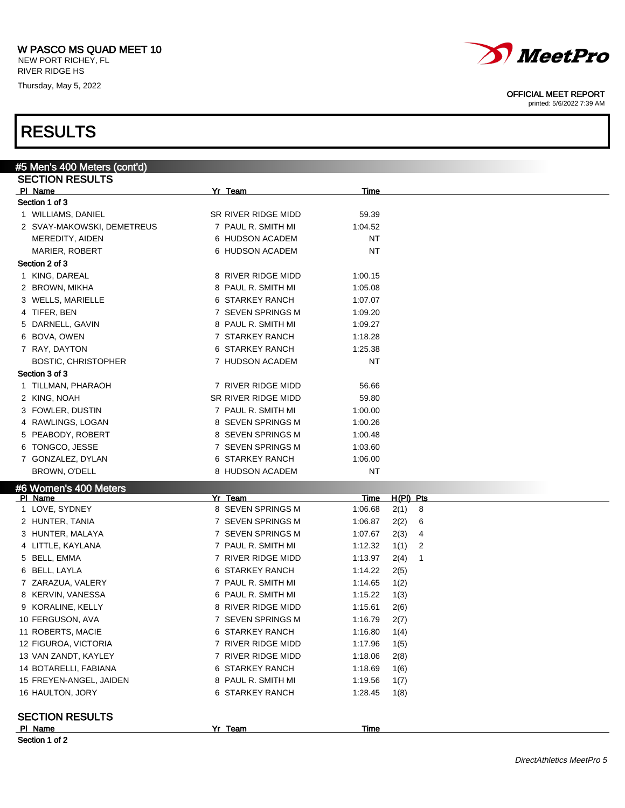NEW PORT RICHEY, FL RIVER RIDGE HS

Thursday, May 5, 2022

## RESULTS

| #5 Men's 400 Meters (cont'd) |                     |         |                        |
|------------------------------|---------------------|---------|------------------------|
| <b>SECTION RESULTS</b>       |                     |         |                        |
| PI Name                      | Yr Team             | Time    |                        |
| Section 1 of 3               |                     |         |                        |
| 1 WILLIAMS, DANIEL           | SR RIVER RIDGE MIDD | 59.39   |                        |
| 2 SVAY-MAKOWSKI, DEMETREUS   | 7 PAUL R. SMITH MI  | 1:04.52 |                        |
| MEREDITY, AIDEN              | 6 HUDSON ACADEM     | NT      |                        |
| <b>MARIER, ROBERT</b>        | 6 HUDSON ACADEM     | NT      |                        |
| Section 2 of 3               |                     |         |                        |
| 1 KING, DAREAL               | 8 RIVER RIDGE MIDD  | 1:00.15 |                        |
| 2 BROWN, MIKHA               | 8 PAUL R. SMITH MI  | 1:05.08 |                        |
| 3 WELLS, MARIELLE            | 6 STARKEY RANCH     | 1:07.07 |                        |
| 4 TIFER, BEN                 | 7 SEVEN SPRINGS M   | 1:09.20 |                        |
| 5 DARNELL, GAVIN             | 8 PAUL R. SMITH MI  | 1:09.27 |                        |
| 6 BOVA, OWEN                 | 7 STARKEY RANCH     | 1:18.28 |                        |
| 7 RAY, DAYTON                | 6 STARKEY RANCH     | 1:25.38 |                        |
| <b>BOSTIC, CHRISTOPHER</b>   | 7 HUDSON ACADEM     | NT      |                        |
| Section 3 of 3               |                     |         |                        |
| 1 TILLMAN, PHARAOH           | 7 RIVER RIDGE MIDD  | 56.66   |                        |
| 2 KING, NOAH                 | SR RIVER RIDGE MIDD | 59.80   |                        |
| 3 FOWLER, DUSTIN             | 7 PAUL R. SMITH MI  | 1:00.00 |                        |
| 4 RAWLINGS, LOGAN            | 8 SEVEN SPRINGS M   | 1:00.26 |                        |
| 5 PEABODY, ROBERT            | 8 SEVEN SPRINGS M   | 1:00.48 |                        |
| 6 TONGCO, JESSE              | 7 SEVEN SPRINGS M   | 1:03.60 |                        |
| 7 GONZALEZ, DYLAN            | 6 STARKEY RANCH     | 1:06.00 |                        |
| BROWN, O'DELL                | 8 HUDSON ACADEM     | NT      |                        |
| #6 Women's 400 Meters        |                     |         |                        |
| PI Name                      | Yr Team             | Time    | $H(PI)$ Pts            |
| 1 LOVE, SYDNEY               | 8 SEVEN SPRINGS M   | 1:06.68 | 2(1)<br>- 8            |
| 2 HUNTER, TANIA              | 7 SEVEN SPRINGS M   | 1:06.87 | 2(2)<br>6              |
| 3 HUNTER, MALAYA             | 7 SEVEN SPRINGS M   | 1:07.67 | 2(3)<br>4              |
| 4 LITTLE, KAYLANA            | 7 PAUL R. SMITH MI  | 1:12.32 | 1(1)<br>2              |
| 5 BELL, EMMA                 | 7 RIVER RIDGE MIDD  | 1:13.97 | 2(4)<br>$\overline{1}$ |
| 6 BELL, LAYLA                | 6 STARKEY RANCH     | 1:14.22 | 2(5)                   |
| 7 ZARAZUA, VALERY            | 7 PAUL R. SMITH MI  | 1:14.65 | 1(2)                   |
| 8 KERVIN, VANESSA            | 6 PAUL R. SMITH MI  | 1:15.22 | 1(3)                   |
| 9 KORALINE, KELLY            | 8 RIVER RIDGE MIDD  | 1:15.61 | 2(6)                   |
| 10 FERGUSON, AVA             | 7 SEVEN SPRINGS M   | 1:16.79 | 2(7)                   |
| 11 ROBERTS, MACIE            | 6 STARKEY RANCH     | 1:16.80 | 1(4)                   |
| 12 FIGUROA, VICTORIA         | 7 RIVER RIDGE MIDD  | 1:17.96 | 1(5)                   |
| 13 VAN ZANDT, KAYLEY         | 7 RIVER RIDGE MIDD  | 1:18.06 | 2(8)                   |
| 14 BOTARELLI, FABIANA        | 6 STARKEY RANCH     | 1:18.69 | 1(6)                   |
| 15 FREYEN-ANGEL, JAIDEN      | 8 PAUL R. SMITH MI  | 1:19.56 | 1(7)                   |
| 16 HAULTON, JORY             | 6 STARKEY RANCH     | 1:28.45 | 1(8)                   |
| <b>SECTION RESULTS</b>       |                     |         |                        |
| PI Name                      | Yr Team             | Time    |                        |
| Section 1 of 2               |                     |         |                        |

Section 1 of 2



OFFICIAL MEET REPORT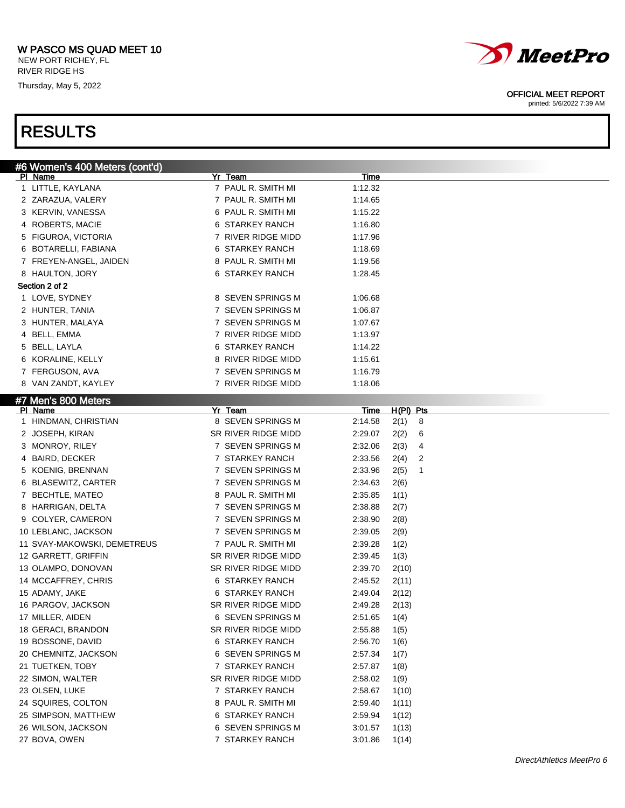NEW PORT RICHEY, FL RIVER RIDGE HS

Thursday, May 5, 2022



### OFFICIAL MEET REPORT

printed: 5/6/2022 7:39 AM

| #6 Women's 400 Meters (cont'd) |                     |                          |  |
|--------------------------------|---------------------|--------------------------|--|
| PI Name                        | Yr Team             | Time                     |  |
| 1 LITTLE, KAYLANA              | 7 PAUL R. SMITH MI  | 1:12.32                  |  |
| 2 ZARAZUA, VALERY              | 7 PAUL R. SMITH MI  | 1:14.65                  |  |
| 3 KERVIN, VANESSA              | 6 PAUL R. SMITH MI  | 1:15.22                  |  |
| 4 ROBERTS, MACIE               | 6 STARKEY RANCH     | 1:16.80                  |  |
| 5 FIGUROA, VICTORIA            | 7 RIVER RIDGE MIDD  | 1:17.96                  |  |
| 6 BOTARELLI, FABIANA           | 6 STARKEY RANCH     | 1:18.69                  |  |
| 7 FREYEN-ANGEL, JAIDEN         | 8 PAUL R. SMITH MI  | 1:19.56                  |  |
| 8 HAULTON, JORY                | 6 STARKEY RANCH     | 1:28.45                  |  |
| Section 2 of 2                 |                     |                          |  |
| 1 LOVE, SYDNEY                 | 8 SEVEN SPRINGS M   | 1:06.68                  |  |
| 2 HUNTER, TANIA                | 7 SEVEN SPRINGS M   | 1:06.87                  |  |
| 3 HUNTER, MALAYA               | 7 SEVEN SPRINGS M   | 1:07.67                  |  |
| 4 BELL, EMMA                   | 7 RIVER RIDGE MIDD  | 1:13.97                  |  |
| 5 BELL, LAYLA                  | 6 STARKEY RANCH     | 1:14.22                  |  |
| 6 KORALINE, KELLY              | 8 RIVER RIDGE MIDD  | 1:15.61                  |  |
| 7 FERGUSON, AVA                | 7 SEVEN SPRINGS M   | 1:16.79                  |  |
| 8 VAN ZANDT, KAYLEY            | 7 RIVER RIDGE MIDD  | 1:18.06                  |  |
| #7 Men's 800 Meters            |                     |                          |  |
| PI Name                        | Yr Team             | H(PI) Pts<br><u>Time</u> |  |
| 1 HINDMAN, CHRISTIAN           | 8 SEVEN SPRINGS M   | 2:14.58<br>2(1)<br>8     |  |
| 2 JOSEPH, KIRAN                | SR RIVER RIDGE MIDD | 2:29.07<br>2(2)<br>6     |  |
| 3 MONROY, RILEY                | 7 SEVEN SPRINGS M   | 2:32.06<br>2(3)<br>4     |  |
| 4 BAIRD, DECKER                | 7 STARKEY RANCH     | 2:33.56<br>2(4)<br>2     |  |
| 5 KOENIG, BRENNAN              | 7 SEVEN SPRINGS M   | 2:33.96<br>2(5)<br>1     |  |
| 6 BLASEWITZ, CARTER            | 7 SEVEN SPRINGS M   | 2:34.63<br>2(6)          |  |
| 7 BECHTLE, MATEO               | 8 PAUL R. SMITH MI  | 2:35.85<br>1(1)          |  |
| 8 HARRIGAN, DELTA              | 7 SEVEN SPRINGS M   | 2:38.88<br>2(7)          |  |
| 9 COLYER, CAMERON              | 7 SEVEN SPRINGS M   | 2:38.90<br>2(8)          |  |
| 10 LEBLANC, JACKSON            | 7 SEVEN SPRINGS M   | 2:39.05<br>2(9)          |  |
| 11 SVAY-MAKOWSKI, DEMETREUS    | 7 PAUL R. SMITH MI  | 2:39.28<br>1(2)          |  |
| 12 GARRETT, GRIFFIN            | SR RIVER RIDGE MIDD | 2:39.45<br>1(3)          |  |
| 13 OLAMPO, DONOVAN             | SR RIVER RIDGE MIDD | 2:39.70<br>2(10)         |  |
| 14 MCCAFFREY, CHRIS            | 6 STARKEY RANCH     | 2:45.52<br>2(11)         |  |
| 15 ADAMY, JAKE                 | 6 STARKEY RANCH     | 2:49.04<br>2(12)         |  |
| 16 PARGOV, JACKSON             | SR RIVER RIDGE MIDD | 2:49.28<br>2(13)         |  |
| 17 MILLER, AIDEN               | 6 SEVEN SPRINGS M   | 2:51.65<br>1(4)          |  |
| 18 GERACI, BRANDON             | SR RIVER RIDGE MIDD | 2:55.88<br>1(5)          |  |
| 19 BOSSONE, DAVID              | 6 STARKEY RANCH     | 2:56.70<br>1(6)          |  |
| 20 CHEMNITZ, JACKSON           | 6 SEVEN SPRINGS M   | 2:57.34<br>1(7)          |  |
| 21 TUETKEN, TOBY               | 7 STARKEY RANCH     | 2:57.87<br>1(8)          |  |
| 22 SIMON, WALTER               | SR RIVER RIDGE MIDD | 2:58.02<br>1(9)          |  |
| 23 OLSEN, LUKE                 | 7 STARKEY RANCH     | 2:58.67<br>1(10)         |  |
| 24 SQUIRES, COLTON             | 8 PAUL R. SMITH MI  | 2:59.40<br>1(11)         |  |
| 25 SIMPSON, MATTHEW            | 6 STARKEY RANCH     | 2:59.94<br>1(12)         |  |
| 26 WILSON, JACKSON             | 6 SEVEN SPRINGS M   | 3:01.57<br>1(13)         |  |
| 27 BOVA, OWEN                  | 7 STARKEY RANCH     | 3:01.86<br>1(14)         |  |
|                                |                     |                          |  |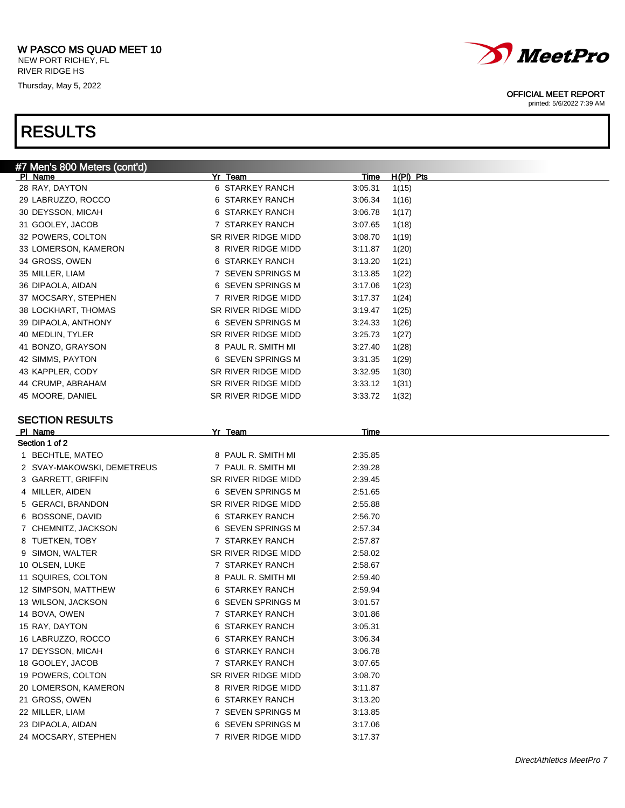RIVER RIDGE HS Thursday, May 5, 2022

## RESULTS



### OFFICIAL MEET REPORT

| #7 Men's 800 Meters (cont'd) |                     |             |             |
|------------------------------|---------------------|-------------|-------------|
| PI Name                      | Yr Team             | <u>Time</u> | $H(PI)$ Pts |
| 28 RAY, DAYTON               | 6 STARKEY RANCH     | 3:05.31     | 1(15)       |
| 29 LABRUZZO, ROCCO           | 6 STARKEY RANCH     | 3:06.34     | 1(16)       |
| 30 DEYSSON, MICAH            | 6 STARKEY RANCH     | 3:06.78     | 1(17)       |
| 31 GOOLEY, JACOB             | 7 STARKEY RANCH     | 3:07.65     | 1(18)       |
| 32 POWERS, COLTON            | SR RIVER RIDGE MIDD | 3:08.70     | 1(19)       |
| 33 LOMERSON, KAMERON         | 8 RIVER RIDGE MIDD  | 3:11.87     | 1(20)       |
| 34 GROSS, OWEN               | 6 STARKEY RANCH     | 3:13.20     | 1(21)       |
| 35 MILLER, LIAM              | 7 SEVEN SPRINGS M   | 3:13.85     | 1(22)       |
| 36 DIPAOLA, AIDAN            | 6 SEVEN SPRINGS M   | 3:17.06     | 1(23)       |
| 37 MOCSARY, STEPHEN          | 7 RIVER RIDGE MIDD  | 3:17.37     | 1(24)       |
| 38 LOCKHART, THOMAS          | SR RIVER RIDGE MIDD | 3:19.47     | 1(25)       |
| 39 DIPAOLA, ANTHONY          | 6 SEVEN SPRINGS M   | 3:24.33     | 1(26)       |
| 40 MEDLIN, TYLER             | SR RIVER RIDGE MIDD | 3:25.73     | 1(27)       |
| 41 BONZO, GRAYSON            | 8 PAUL R. SMITH MI  | 3:27.40     | 1(28)       |
| 42 SIMMS, PAYTON             | 6 SEVEN SPRINGS M   | 3:31.35     | 1(29)       |
| 43 KAPPLER, CODY             | SR RIVER RIDGE MIDD | 3:32.95     | 1(30)       |
| 44 CRUMP, ABRAHAM            | SR RIVER RIDGE MIDD | 3:33.12     | 1(31)       |
| 45 MOORE, DANIEL             | SR RIVER RIDGE MIDD | 3:33.72     | 1(32)       |
|                              |                     |             |             |
| <b>SECTION RESULTS</b>       |                     |             |             |
| PI Name                      | Yr Team             | Time        |             |
| Section 1 of 2               |                     |             |             |
| 1 BECHTLE, MATEO             | 8 PAUL R. SMITH MI  | 2:35.85     |             |
| 2 SVAY-MAKOWSKI, DEMETREUS   | 7 PAUL R. SMITH MI  | 2:39.28     |             |
| 3 GARRETT, GRIFFIN           | SR RIVER RIDGE MIDD | 2:39.45     |             |
| 4 MILLER, AIDEN              | 6 SEVEN SPRINGS M   | 2:51.65     |             |
| 5 GERACI, BRANDON            | SR RIVER RIDGE MIDD | 2:55.88     |             |
| 6 BOSSONE, DAVID             | 6 STARKEY RANCH     | 2:56.70     |             |
| 7 CHEMNITZ, JACKSON          | 6 SEVEN SPRINGS M   | 2:57.34     |             |
| 8 TUETKEN, TOBY              | 7 STARKEY RANCH     |             |             |
|                              |                     | 2:57.87     |             |
| 9 SIMON, WALTER              | SR RIVER RIDGE MIDD | 2:58.02     |             |
| 10 OLSEN, LUKE               | 7 STARKEY RANCH     | 2:58.67     |             |
| 11 SQUIRES, COLTON           | 8 PAUL R. SMITH MI  | 2:59.40     |             |
| 12 SIMPSON, MATTHEW          | 6 STARKEY RANCH     | 2:59.94     |             |
| 13 WILSON, JACKSON           | 6 SEVEN SPRINGS M   | 3:01.57     |             |
| 14 BOVA, OWEN                | 7 STARKEY RANCH     | 3:01.86     |             |
| 15 RAY, DAYTON               | 6 STARKEY RANCH     | 3:05.31     |             |
| 16 LABRUZZO, ROCCO           | 6 STARKEY RANCH     | 3:06.34     |             |
| 17 DEYSSON, MICAH            | 6 STARKEY RANCH     | 3:06.78     |             |
| 18 GOOLEY, JACOB             | 7 STARKEY RANCH     | 3:07.65     |             |
| 19 POWERS, COLTON            | SR RIVER RIDGE MIDD | 3:08.70     |             |
| 20 LOMERSON, KAMERON         | 8 RIVER RIDGE MIDD  | 3:11.87     |             |
| 21 GROSS, OWEN               | 6 STARKEY RANCH     | 3:13.20     |             |
| 22 MILLER, LIAM              | 7 SEVEN SPRINGS M   | 3:13.85     |             |
| 23 DIPAOLA, AIDAN            | 6 SEVEN SPRINGS M   | 3:17.06     |             |
| 24 MOCSARY, STEPHEN          | 7 RIVER RIDGE MIDD  | 3:17.37     |             |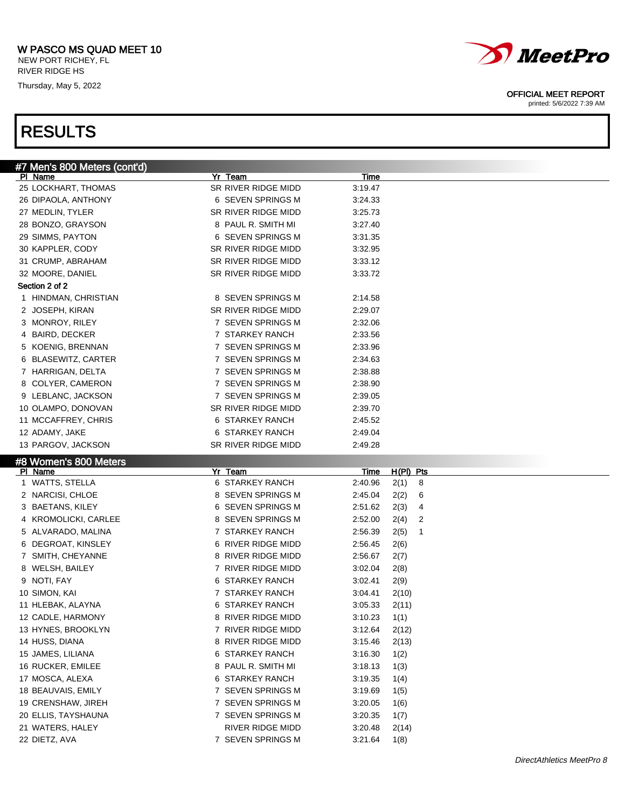NEW PORT RICHEY, FL RIVER RIDGE HS

Thursday, May 5, 2022



### OFFICIAL MEET REPORT

printed: 5/6/2022 7:39 AM

| #7 Men's 800 Meters (cont'd)     |                     |                                 |  |
|----------------------------------|---------------------|---------------------------------|--|
| PI Name                          | Yr Team             | Time                            |  |
| 25 LOCKHART, THOMAS              | SR RIVER RIDGE MIDD | 3:19.47                         |  |
| 26 DIPAOLA, ANTHONY              | 6 SEVEN SPRINGS M   | 3:24.33                         |  |
| 27 MEDLIN, TYLER                 | SR RIVER RIDGE MIDD | 3:25.73                         |  |
| 28 BONZO, GRAYSON                | 8 PAUL R. SMITH MI  | 3:27.40                         |  |
| 29 SIMMS, PAYTON                 | 6 SEVEN SPRINGS M   | 3:31.35                         |  |
| 30 KAPPLER, CODY                 | SR RIVER RIDGE MIDD | 3:32.95                         |  |
| 31 CRUMP, ABRAHAM                | SR RIVER RIDGE MIDD | 3:33.12                         |  |
| 32 MOORE, DANIEL                 | SR RIVER RIDGE MIDD | 3:33.72                         |  |
| Section 2 of 2                   |                     |                                 |  |
| 1 HINDMAN, CHRISTIAN             | 8 SEVEN SPRINGS M   | 2:14.58                         |  |
| 2 JOSEPH, KIRAN                  | SR RIVER RIDGE MIDD | 2:29.07                         |  |
| 3 MONROY, RILEY                  | 7 SEVEN SPRINGS M   | 2:32.06                         |  |
| 4 BAIRD, DECKER                  | 7 STARKEY RANCH     | 2:33.56                         |  |
| 5 KOENIG, BRENNAN                | 7 SEVEN SPRINGS M   | 2:33.96                         |  |
| 6 BLASEWITZ, CARTER              | 7 SEVEN SPRINGS M   | 2:34.63                         |  |
| 7 HARRIGAN, DELTA                | 7 SEVEN SPRINGS M   | 2:38.88                         |  |
| 8 COLYER, CAMERON                | 7 SEVEN SPRINGS M   | 2:38.90                         |  |
| 9 LEBLANC, JACKSON               | 7 SEVEN SPRINGS M   | 2:39.05                         |  |
| 10 OLAMPO, DONOVAN               | SR RIVER RIDGE MIDD | 2:39.70                         |  |
| 11 MCCAFFREY, CHRIS              | 6 STARKEY RANCH     | 2:45.52                         |  |
| 12 ADAMY, JAKE                   | 6 STARKEY RANCH     | 2:49.04                         |  |
| 13 PARGOV, JACKSON               | SR RIVER RIDGE MIDD | 2:49.28                         |  |
|                                  |                     |                                 |  |
|                                  |                     |                                 |  |
| #8 Women's 800 Meters<br>PI Name | Yr Team             | H(PI) Pts<br><u>Time</u>        |  |
| 1 WATTS, STELLA                  | 6 STARKEY RANCH     | 2:40.96<br>2(1)<br>8            |  |
| 2 NARCISI, CHLOE                 | 8 SEVEN SPRINGS M   | 2:45.04<br>2(2)<br>6            |  |
| 3 BAETANS, KILEY                 | 6 SEVEN SPRINGS M   | 2:51.62<br>2(3)<br>4            |  |
| 4 KROMOLICKI, CARLEE             | 8 SEVEN SPRINGS M   | 2:52.00<br>2(4)<br>2            |  |
| 5 ALVARADO, MALINA               | 7 STARKEY RANCH     | 2:56.39<br>2(5)<br>$\mathbf{1}$ |  |
| 6 DEGROAT, KINSLEY               | 6 RIVER RIDGE MIDD  | 2:56.45<br>2(6)                 |  |
| 7 SMITH, CHEYANNE                | 8 RIVER RIDGE MIDD  | 2:56.67<br>2(7)                 |  |
| 8 WELSH, BAILEY                  | 7 RIVER RIDGE MIDD  | 3:02.04<br>2(8)                 |  |
| 9 NOTI, FAY                      | 6 STARKEY RANCH     | 3:02.41<br>2(9)                 |  |
| 10 SIMON, KAI                    | 7 STARKEY RANCH     | 3:04.41<br>2(10)                |  |
| 11 HLEBAK, ALAYNA                | 6 STARKEY RANCH     | 3:05.33<br>2(11)                |  |
| 12 CADLE, HARMONY                | 8 RIVER RIDGE MIDD  | 3:10.23<br>1(1)                 |  |
| 13 HYNES, BROOKLYN               | 7 RIVER RIDGE MIDD  | 3:12.64<br>2(12)                |  |
| 14 HUSS, DIANA                   | 8 RIVER RIDGE MIDD  | 3:15.46<br>2(13)                |  |
| 15 JAMES, LILIANA                | 6 STARKEY RANCH     | 3:16.30<br>1(2)                 |  |
| 16 RUCKER, EMILEE                | 8 PAUL R. SMITH MI  | 3:18.13<br>1(3)                 |  |
| 17 MOSCA, ALEXA                  | 6 STARKEY RANCH     | 3:19.35<br>1(4)                 |  |
| 18 BEAUVAIS, EMILY               | 7 SEVEN SPRINGS M   | 3:19.69<br>1(5)                 |  |
| 19 CRENSHAW, JIREH               | 7 SEVEN SPRINGS M   | 3:20.05<br>1(6)                 |  |
| 20 ELLIS, TAYSHAUNA              | 7 SEVEN SPRINGS M   | 3:20.35                         |  |
| 21 WATERS, HALEY                 | RIVER RIDGE MIDD    | 1(7)<br>3:20.48<br>2(14)        |  |
| 22 DIETZ, AVA                    | 7 SEVEN SPRINGS M   | 3:21.64<br>1(8)                 |  |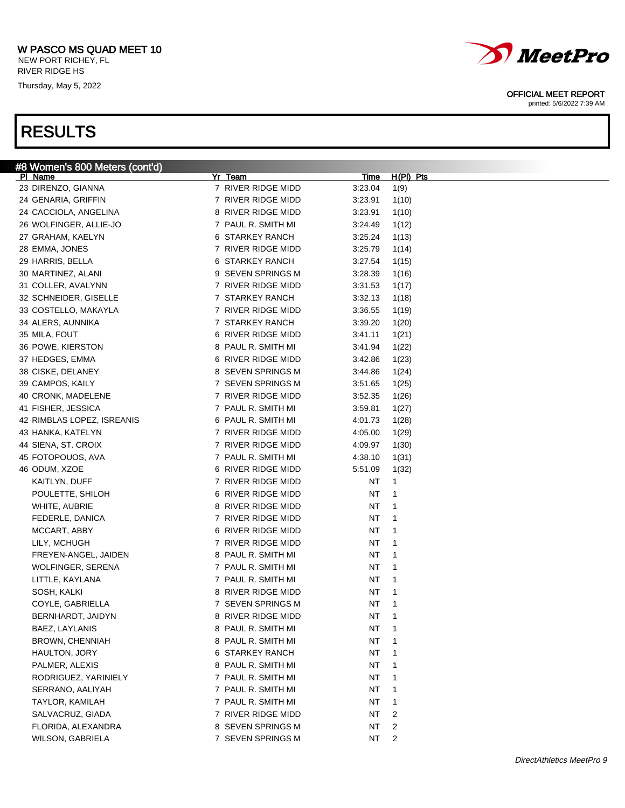NEW PORT RICHEY, FL RIVER RIDGE HS

Thursday, May 5, 2022

## RESULTS



### OFFICIAL MEET REPORT

| #8 Women's 800 Meters (cont'd) |                    |             |                |
|--------------------------------|--------------------|-------------|----------------|
| PI Name                        | Yr Team            | <u>Time</u> | H(PI) Pts      |
| 23 DIRENZO, GIANNA             | 7 RIVER RIDGE MIDD | 3:23.04     | 1(9)           |
| 24 GENARIA, GRIFFIN            | 7 RIVER RIDGE MIDD | 3:23.91     | 1(10)          |
| 24 CACCIOLA, ANGELINA          | 8 RIVER RIDGE MIDD | 3:23.91     | 1(10)          |
| 26 WOLFINGER, ALLIE-JO         | 7 PAUL R. SMITH MI | 3:24.49     | 1(12)          |
| 27 GRAHAM, KAELYN              | 6 STARKEY RANCH    | 3:25.24     | 1(13)          |
| 28 EMMA, JONES                 | 7 RIVER RIDGE MIDD | 3:25.79     | 1(14)          |
| 29 HARRIS, BELLA               | 6 STARKEY RANCH    | 3:27.54     | 1(15)          |
| 30 MARTINEZ, ALANI             | 9 SEVEN SPRINGS M  | 3:28.39     | 1(16)          |
| 31 COLLER, AVALYNN             | 7 RIVER RIDGE MIDD | 3:31.53     | 1(17)          |
| 32 SCHNEIDER, GISELLE          | 7 STARKEY RANCH    | 3:32.13     | 1(18)          |
| 33 COSTELLO, MAKAYLA           | 7 RIVER RIDGE MIDD | 3:36.55     | 1(19)          |
| 34 ALERS, AUNNIKA              | 7 STARKEY RANCH    | 3:39.20     | 1(20)          |
| 35 MILA, FOUT                  | 6 RIVER RIDGE MIDD | 3:41.11     | 1(21)          |
| 36 POWE, KIERSTON              | 8 PAUL R. SMITH MI | 3:41.94     | 1(22)          |
| 37 HEDGES, EMMA                | 6 RIVER RIDGE MIDD | 3:42.86     | 1(23)          |
| 38 CISKE, DELANEY              | 8 SEVEN SPRINGS M  | 3:44.86     | 1(24)          |
| 39 CAMPOS, KAILY               | 7 SEVEN SPRINGS M  | 3:51.65     | 1(25)          |
| 40 CRONK, MADELENE             | 7 RIVER RIDGE MIDD | 3:52.35     | 1(26)          |
| 41 FISHER, JESSICA             | 7 PAUL R. SMITH MI | 3:59.81     | 1(27)          |
| 42 RIMBLAS LOPEZ, ISREANIS     | 6 PAUL R. SMITH MI | 4:01.73     | 1(28)          |
| 43 HANKA, KATELYN              | 7 RIVER RIDGE MIDD | 4:05.00     | 1(29)          |
| 44 SIENA, ST. CROIX            | 7 RIVER RIDGE MIDD | 4:09.97     | 1(30)          |
| 45 FOTOPOUOS, AVA              | 7 PAUL R. SMITH MI | 4:38.10     | 1(31)          |
| 46 ODUM, XZOE                  | 6 RIVER RIDGE MIDD | 5:51.09     | 1(32)          |
| KAITLYN, DUFF                  | 7 RIVER RIDGE MIDD | NT          | 1              |
| POULETTE, SHILOH               | 6 RIVER RIDGE MIDD | NΤ          | 1              |
| WHITE, AUBRIE                  | 8 RIVER RIDGE MIDD | ΝT          | 1              |
| FEDERLE, DANICA                | 7 RIVER RIDGE MIDD | ΝT          | 1              |
| MCCART, ABBY                   | 6 RIVER RIDGE MIDD |             | 1              |
|                                |                    | ΝT          |                |
| LILY, MCHUGH                   | 7 RIVER RIDGE MIDD | ΝT          | 1              |
| FREYEN-ANGEL, JAIDEN           | 8 PAUL R. SMITH MI | ΝT          | 1              |
| <b>WOLFINGER, SERENA</b>       | 7 PAUL R. SMITH MI | ΝT          | 1              |
| LITTLE, KAYLANA                | 7 PAUL R. SMITH MI | ΝT          | 1              |
| SOSH, KALKI                    | 8 RIVER RIDGE MIDD | ΝT          | 1              |
| COYLE, GABRIELLA               | 7 SEVEN SPRINGS M  | NΤ          | 1              |
| BERNHARDT, JAIDYN              | 8 RIVER RIDGE MIDD | ΝT          | 1              |
| BAEZ, LAYLANIS                 | 8 PAUL R. SMITH MI | NT          | 1              |
| BROWN, CHENNIAH                | 8 PAUL R. SMITH MI | ΝT          | 1              |
| HAULTON, JORY                  | 6 STARKEY RANCH    | ΝT          | 1              |
| PALMER, ALEXIS                 | 8 PAUL R. SMITH MI | ΝT          | 1              |
| RODRIGUEZ, YARINIELY           | 7 PAUL R. SMITH MI | ΝT          | 1              |
| SERRANO, AALIYAH               | 7 PAUL R. SMITH MI | ΝT          | 1              |
| TAYLOR, KAMILAH                | 7 PAUL R. SMITH MI | ΝT          | 1              |
| SALVACRUZ, GIADA               | 7 RIVER RIDGE MIDD | NT          | 2              |
| FLORIDA, ALEXANDRA             | 8 SEVEN SPRINGS M  | NT          | 2              |
| WILSON, GABRIELA               | 7 SEVEN SPRINGS M  | NT          | $\overline{2}$ |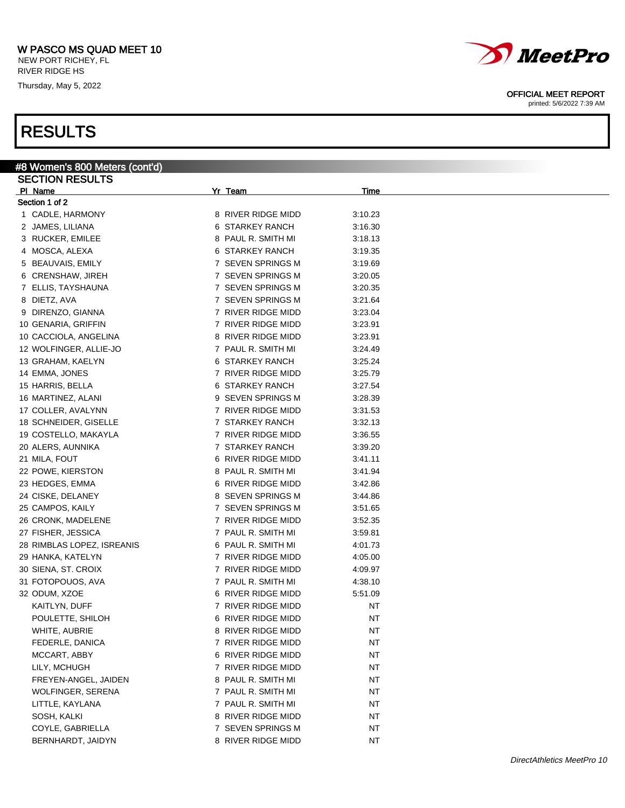NEW PORT RICHEY, FL RIVER RIDGE HS

Thursday, May 5, 2022

## RESULTS

| , , , , , , , , ,              |                    |             |  |
|--------------------------------|--------------------|-------------|--|
| #8 Women's 800 Meters (cont'd) |                    |             |  |
| <b>SECTION RESULTS</b>         |                    |             |  |
| PI Name                        | Yr Team            | <b>Time</b> |  |
| Section 1 of 2                 |                    |             |  |
| 1 CADLE, HARMONY               | 8 RIVER RIDGE MIDD | 3:10.23     |  |
| 2 JAMES, LILIANA               | 6 STARKEY RANCH    | 3:16.30     |  |
| 3 RUCKER, EMILEE               | 8 PAUL R. SMITH MI | 3:18.13     |  |
| 4 MOSCA, ALEXA                 | 6 STARKEY RANCH    | 3:19.35     |  |
| 5 BEAUVAIS, EMILY              | 7 SEVEN SPRINGS M  | 3:19.69     |  |
| 6 CRENSHAW, JIREH              | 7 SEVEN SPRINGS M  | 3:20.05     |  |
| 7 ELLIS, TAYSHAUNA             | 7 SEVEN SPRINGS M  | 3:20.35     |  |
| 8 DIETZ, AVA                   | 7 SEVEN SPRINGS M  | 3:21.64     |  |
| 9 DIRENZO, GIANNA              | 7 RIVER RIDGE MIDD | 3:23.04     |  |
| 10 GENARIA, GRIFFIN            | 7 RIVER RIDGE MIDD | 3:23.91     |  |
| 10 CACCIOLA, ANGELINA          | 8 RIVER RIDGE MIDD | 3:23.91     |  |
| 12 WOLFINGER, ALLIE-JO         | 7 PAUL R. SMITH MI | 3:24.49     |  |
| 13 GRAHAM, KAELYN              | 6 STARKEY RANCH    | 3:25.24     |  |
| 14 EMMA, JONES                 | 7 RIVER RIDGE MIDD | 3:25.79     |  |
| 15 HARRIS, BELLA               | 6 STARKEY RANCH    | 3:27.54     |  |
| 16 MARTINEZ, ALANI             | 9 SEVEN SPRINGS M  | 3:28.39     |  |
| 17 COLLER, AVALYNN             | 7 RIVER RIDGE MIDD | 3:31.53     |  |
| 18 SCHNEIDER, GISELLE          | 7 STARKEY RANCH    | 3:32.13     |  |
| 19 COSTELLO, MAKAYLA           | 7 RIVER RIDGE MIDD | 3:36.55     |  |
| 20 ALERS, AUNNIKA              | 7 STARKEY RANCH    | 3:39.20     |  |
| 21 MILA, FOUT                  | 6 RIVER RIDGE MIDD | 3:41.11     |  |
| 22 POWE, KIERSTON              | 8 PAUL R. SMITH MI | 3:41.94     |  |
| 23 HEDGES, EMMA                | 6 RIVER RIDGE MIDD | 3:42.86     |  |
| 24 CISKE, DELANEY              | 8 SEVEN SPRINGS M  | 3:44.86     |  |
| 25 CAMPOS, KAILY               | 7 SEVEN SPRINGS M  | 3:51.65     |  |
| 26 CRONK, MADELENE             | 7 RIVER RIDGE MIDD | 3:52.35     |  |
| 27 FISHER, JESSICA             | 7 PAUL R. SMITH MI | 3:59.81     |  |
| 28 RIMBLAS LOPEZ, ISREANIS     | 6 PAUL R. SMITH MI | 4:01.73     |  |
| 29 HANKA, KATELYN              | 7 RIVER RIDGE MIDD | 4:05.00     |  |
| 30 SIENA, ST. CROIX            | 7 RIVER RIDGE MIDD | 4:09.97     |  |
| 31 FOTOPOUOS, AVA              | 7 PAUL R. SMITH MI | 4:38.10     |  |
| 32 ODUM, XZOE                  | 6 RIVER RIDGE MIDD | 5:51.09     |  |
| KAITLYN, DUFF                  | 7 RIVER RIDGE MIDD | NT          |  |
| POULETTE, SHILOH               | 6 RIVER RIDGE MIDD | NT          |  |
| WHITE, AUBRIE                  | 8 RIVER RIDGE MIDD | NT          |  |
| FEDERLE, DANICA                | 7 RIVER RIDGE MIDD | ΝT          |  |
| MCCART, ABBY                   | 6 RIVER RIDGE MIDD | NT          |  |
| LILY, MCHUGH                   | 7 RIVER RIDGE MIDD | ΝT          |  |
| FREYEN-ANGEL, JAIDEN           | 8 PAUL R. SMITH MI | ΝT          |  |
| WOLFINGER, SERENA              | 7 PAUL R. SMITH MI | ΝT          |  |
| LITTLE, KAYLANA                | 7 PAUL R. SMITH MI | NT          |  |
| SOSH, KALKI                    | 8 RIVER RIDGE MIDD | <b>NT</b>   |  |

COYLE, GABRIELLA **1988 12 COYLE, GABRIELLA NT** BERNHARDT, JAIDYN 8 RIVER RIDGE MIDD NT



OFFICIAL MEET REPORT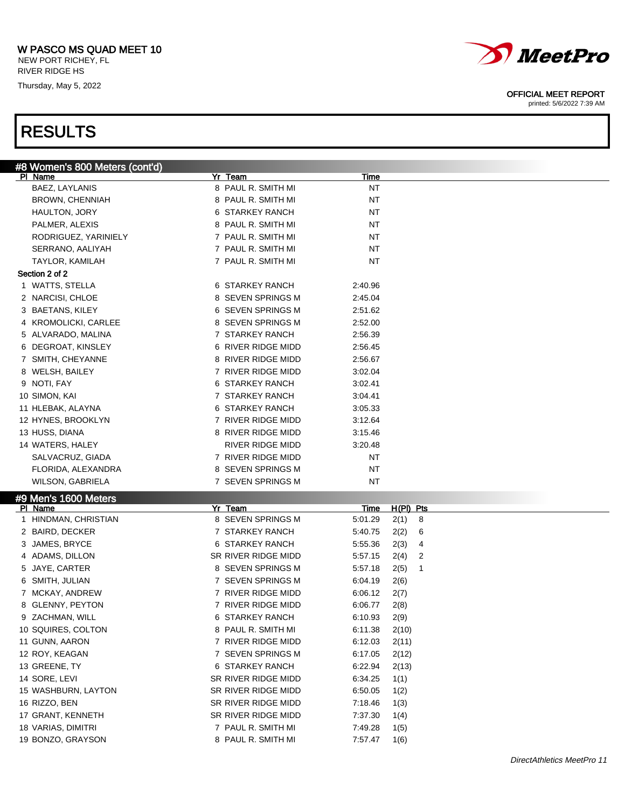NEW PORT RICHEY, FL RIVER RIDGE HS

Thursday, May 5, 2022

# *MeetPro*

OFFICIAL MEET REPORT

printed: 5/6/2022 7:39 AM

| #8 Women's 800 Meters (cont'd)  |                     |                      |
|---------------------------------|---------------------|----------------------|
| PI Name                         | Yr Team             | <b>Time</b>          |
| BAEZ, LAYLANIS                  | 8 PAUL R. SMITH MI  | ΝT                   |
| <b>BROWN, CHENNIAH</b>          | 8 PAUL R. SMITH MI  | <b>NT</b>            |
| HAULTON, JORY                   | 6 STARKEY RANCH     | <b>NT</b>            |
| PALMER, ALEXIS                  | 8 PAUL R. SMITH MI  | NT                   |
| RODRIGUEZ, YARINIELY            | 7 PAUL R. SMITH MI  | ΝT                   |
| SERRANO, AALIYAH                | 7 PAUL R. SMITH MI  | ΝT                   |
| TAYLOR, KAMILAH                 | 7 PAUL R. SMITH MI  | NT                   |
| Section 2 of 2                  |                     |                      |
| 1 WATTS, STELLA                 | 6 STARKEY RANCH     | 2:40.96              |
| 2 NARCISI, CHLOE                | 8 SEVEN SPRINGS M   | 2:45.04              |
| 3 BAETANS, KILEY                | 6 SEVEN SPRINGS M   | 2:51.62              |
| 4 KROMOLICKI, CARLEE            | 8 SEVEN SPRINGS M   | 2:52.00              |
| 5 ALVARADO, MALINA              | 7 STARKEY RANCH     | 2:56.39              |
| 6 DEGROAT, KINSLEY              | 6 RIVER RIDGE MIDD  | 2:56.45              |
| 7 SMITH, CHEYANNE               | 8 RIVER RIDGE MIDD  | 2:56.67              |
| 8 WELSH, BAILEY                 | 7 RIVER RIDGE MIDD  | 3:02.04              |
| 9 NOTI, FAY                     | 6 STARKEY RANCH     | 3:02.41              |
| 10 SIMON, KAI                   | 7 STARKEY RANCH     | 3:04.41              |
| 11 HLEBAK, ALAYNA               | 6 STARKEY RANCH     | 3:05.33              |
| 12 HYNES, BROOKLYN              | 7 RIVER RIDGE MIDD  | 3:12.64              |
| 13 HUSS, DIANA                  | 8 RIVER RIDGE MIDD  | 3:15.46              |
| 14 WATERS, HALEY                | RIVER RIDGE MIDD    | 3:20.48              |
| SALVACRUZ, GIADA                | 7 RIVER RIDGE MIDD  | ΝT                   |
| FLORIDA, ALEXANDRA              | 8 SEVEN SPRINGS M   | NT                   |
| <b>WILSON, GABRIELA</b>         | 7 SEVEN SPRINGS M   | NT                   |
|                                 |                     |                      |
| #9 Men's 1600 Meters<br>PI Name | Yr Team             | $H(PI)$ Pts<br>Time  |
| 1 HINDMAN, CHRISTIAN            | 8 SEVEN SPRINGS M   | 5:01.29<br>2(1)<br>8 |
| 2 BAIRD, DECKER                 | 7 STARKEY RANCH     | 5:40.75<br>2(2)<br>6 |
| 3 JAMES, BRYCE                  | 6 STARKEY RANCH     | 5:55.36<br>2(3)<br>4 |
| 4 ADAMS, DILLON                 | SR RIVER RIDGE MIDD | 5:57.15<br>2(4)<br>2 |
| 5 JAYE, CARTER                  | 8 SEVEN SPRINGS M   | 5:57.18<br>2(5)<br>1 |
| 6 SMITH, JULIAN                 | 7 SEVEN SPRINGS M   | 6:04.19<br>2(6)      |
| 7 MCKAY, ANDREW                 | 7 RIVER RIDGE MIDD  | 6:06.12<br>2(7)      |
| 8 GLENNY, PEYTON                | 7 RIVER RIDGE MIDD  | 6:06.77<br>2(8)      |
| 9 ZACHMAN, WILL                 | 6 STARKEY RANCH     | 6:10.93<br>2(9)      |
| 10 SQUIRES, COLTON              | 8 PAUL R. SMITH MI  | 6:11.38<br>2(10)     |
| 11 GUNN, AARON                  | 7 RIVER RIDGE MIDD  | 6:12.03<br>2(11)     |
| 12 ROY, KEAGAN                  | 7 SEVEN SPRINGS M   | 6:17.05<br>2(12)     |
| 13 GREENE, TY                   | 6 STARKEY RANCH     | 6:22.94<br>2(13)     |
| 14 SORE, LEVI                   | SR RIVER RIDGE MIDD | 6:34.25<br>1(1)      |
| 15 WASHBURN, LAYTON             | SR RIVER RIDGE MIDD | 6:50.05<br>1(2)      |
| 16 RIZZO, BEN                   | SR RIVER RIDGE MIDD | 7:18.46<br>1(3)      |
| 17 GRANT, KENNETH               | SR RIVER RIDGE MIDD | 7:37.30<br>1(4)      |
| 18 VARIAS, DIMITRI              | 7 PAUL R. SMITH MI  | 7:49.28<br>1(5)      |
| 19 BONZO, GRAYSON               | 8 PAUL R. SMITH MI  | 7:57.47<br>1(6)      |
|                                 |                     |                      |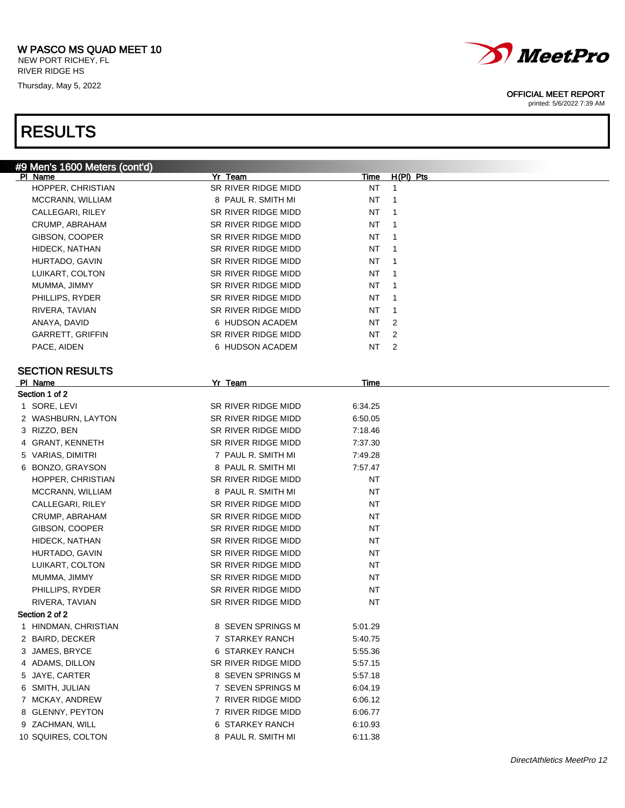NEW PORT RICHEY, FL RIVER RIDGE HS

Thursday, May 5, 2022

## RESULTS



### OFFICIAL MEET REPORT

| #9 Men's 1600 Meters (cont'd)     |                     |             |                |
|-----------------------------------|---------------------|-------------|----------------|
| PI Name                           | Yr Team             | <u>Time</u> | $H(PI)$ Pts    |
| HOPPER, CHRISTIAN                 | SR RIVER RIDGE MIDD | NT          | $\mathbf{1}$   |
| MCCRANN, WILLIAM                  | 8 PAUL R. SMITH MI  | NT          | $\mathbf{1}$   |
| CALLEGARI, RILEY                  | SR RIVER RIDGE MIDD | NT          | $\mathbf{1}$   |
| CRUMP, ABRAHAM                    | SR RIVER RIDGE MIDD | NT          | $\mathbf{1}$   |
| GIBSON, COOPER                    | SR RIVER RIDGE MIDD | NT          | $\mathbf{1}$   |
| HIDECK, NATHAN                    | SR RIVER RIDGE MIDD | NT          | $\mathbf{1}$   |
| HURTADO, GAVIN                    | SR RIVER RIDGE MIDD | NT          | $\mathbf{1}$   |
| LUIKART, COLTON                   | SR RIVER RIDGE MIDD | NT          | $\mathbf{1}$   |
| MUMMA, JIMMY                      | SR RIVER RIDGE MIDD | NT          | $\mathbf{1}$   |
| PHILLIPS, RYDER                   | SR RIVER RIDGE MIDD | NT          | $\mathbf{1}$   |
| RIVERA, TAVIAN                    | SR RIVER RIDGE MIDD | NT          | $\mathbf{1}$   |
| ANAYA, DAVID                      | 6 HUDSON ACADEM     | NT          | 2              |
| GARRETT, GRIFFIN                  | SR RIVER RIDGE MIDD | NT          | 2              |
| PACE, AIDEN                       | 6 HUDSON ACADEM     | NT          | $\overline{2}$ |
|                                   |                     |             |                |
| <b>SECTION RESULTS</b><br>PI Name | Yr Team             | Time        |                |
| Section 1 of 2                    |                     |             |                |
| 1 SORE, LEVI                      | SR RIVER RIDGE MIDD | 6:34.25     |                |
| 2 WASHBURN, LAYTON                | SR RIVER RIDGE MIDD | 6:50.05     |                |
| 3 RIZZO, BEN                      | SR RIVER RIDGE MIDD | 7:18.46     |                |
| 4 GRANT, KENNETH                  | SR RIVER RIDGE MIDD | 7:37.30     |                |
| 5 VARIAS, DIMITRI                 | 7 PAUL R. SMITH MI  | 7:49.28     |                |
| 6 BONZO, GRAYSON                  | 8 PAUL R. SMITH MI  | 7:57.47     |                |
| HOPPER, CHRISTIAN                 | SR RIVER RIDGE MIDD | <b>NT</b>   |                |
| MCCRANN, WILLIAM                  | 8 PAUL R. SMITH MI  | <b>NT</b>   |                |
| CALLEGARI, RILEY                  | SR RIVER RIDGE MIDD | NT          |                |
| CRUMP, ABRAHAM                    | SR RIVER RIDGE MIDD | NT          |                |
| GIBSON, COOPER                    | SR RIVER RIDGE MIDD | <b>NT</b>   |                |
| HIDECK, NATHAN                    | SR RIVER RIDGE MIDD | <b>NT</b>   |                |
| HURTADO, GAVIN                    | SR RIVER RIDGE MIDD | NT          |                |
| LUIKART, COLTON                   | SR RIVER RIDGE MIDD | NT          |                |
| MUMMA, JIMMY                      | SR RIVER RIDGE MIDD | <b>NT</b>   |                |
| PHILLIPS, RYDER                   | SR RIVER RIDGE MIDD | <b>NT</b>   |                |
| RIVERA, TAVIAN                    | SR RIVER RIDGE MIDD | NT          |                |
| Section 2 of 2                    |                     |             |                |
| 1 HINDMAN, CHRISTIAN              | 8 SEVEN SPRINGS M   | 5:01.29     |                |
| 2 BAIRD, DECKER                   | 7 STARKEY RANCH     | 5:40.75     |                |
| 3 JAMES, BRYCE                    | 6 STARKEY RANCH     | 5:55.36     |                |
| 4 ADAMS, DILLON                   | SR RIVER RIDGE MIDD | 5:57.15     |                |
| 5 JAYE, CARTER                    | 8 SEVEN SPRINGS M   | 5:57.18     |                |
| 6 SMITH, JULIAN                   | 7 SEVEN SPRINGS M   | 6:04.19     |                |
| 7 MCKAY, ANDREW                   | 7 RIVER RIDGE MIDD  | 6:06.12     |                |
| 8 GLENNY, PEYTON                  | 7 RIVER RIDGE MIDD  | 6:06.77     |                |
| 9 ZACHMAN, WILL                   | 6 STARKEY RANCH     | 6:10.93     |                |
| 10 SQUIRES, COLTON                | 8 PAUL R. SMITH MI  | 6:11.38     |                |
|                                   |                     |             |                |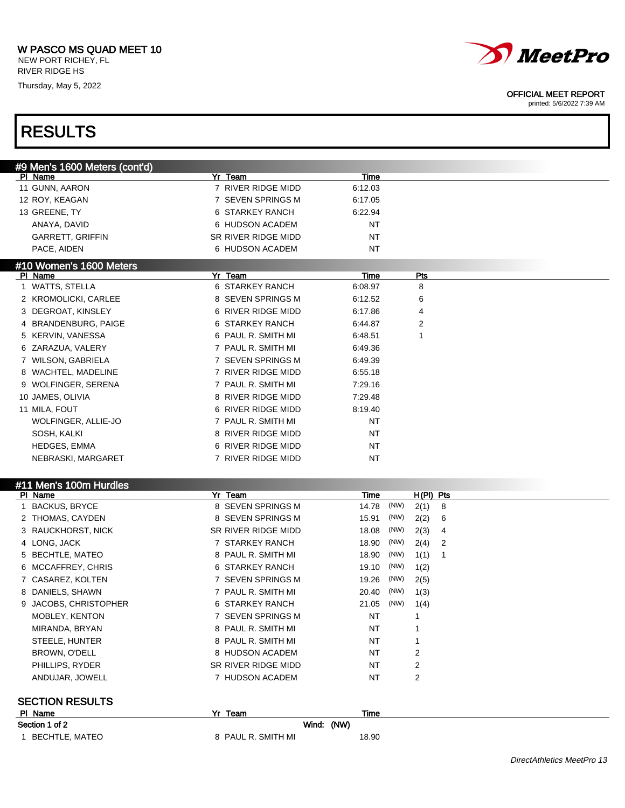NEW PORT RICHEY, FL RIVER RIDGE HS

Thursday, May 5, 2022

RESULTS



### OFFICIAL MEET REPORT

| #9 Men's 1600 Meters (cont'd) |                     |             |              |                |  |
|-------------------------------|---------------------|-------------|--------------|----------------|--|
| PI Name                       | Yr Team             | <b>Time</b> |              |                |  |
| 11 GUNN, AARON                | 7 RIVER RIDGE MIDD  | 6:12.03     |              |                |  |
| 12 ROY, KEAGAN                | 7 SEVEN SPRINGS M   | 6:17.05     |              |                |  |
| 13 GREENE, TY                 | 6 STARKEY RANCH     | 6:22.94     |              |                |  |
| ANAYA, DAVID                  | 6 HUDSON ACADEM     | NT          |              |                |  |
| GARRETT, GRIFFIN              | SR RIVER RIDGE MIDD | NT          |              |                |  |
| PACE, AIDEN                   | 6 HUDSON ACADEM     | NT          |              |                |  |
| #10 Women's 1600 Meters       |                     |             |              |                |  |
| PI Name                       | Yr Team             | Time        | Pts          |                |  |
| 1 WATTS, STELLA               | 6 STARKEY RANCH     | 6:08.97     | 8            |                |  |
| 2 KROMOLICKI, CARLEE          | 8 SEVEN SPRINGS M   | 6:12.52     | 6            |                |  |
| 3 DEGROAT, KINSLEY            | 6 RIVER RIDGE MIDD  | 6:17.86     | 4            |                |  |
| 4 BRANDENBURG, PAIGE          | 6 STARKEY RANCH     | 6:44.87     | 2            |                |  |
| 5 KERVIN, VANESSA             | 6 PAUL R. SMITH MI  | 6:48.51     | 1            |                |  |
| ZARAZUA, VALERY<br>6          | 7 PAUL R. SMITH MI  | 6:49.36     |              |                |  |
| 7 WILSON, GABRIELA            | 7 SEVEN SPRINGS M   | 6:49.39     |              |                |  |
| WACHTEL, MADELINE<br>8        | 7 RIVER RIDGE MIDD  | 6:55.18     |              |                |  |
| <b>WOLFINGER, SERENA</b><br>9 | 7 PAUL R. SMITH MI  | 7:29.16     |              |                |  |
| 10 JAMES, OLIVIA              | 8 RIVER RIDGE MIDD  | 7:29.48     |              |                |  |
| 11 MILA, FOUT                 | 6 RIVER RIDGE MIDD  | 8:19.40     |              |                |  |
| WOLFINGER, ALLIE-JO           | 7 PAUL R. SMITH MI  | NT          |              |                |  |
| SOSH, KALKI                   | 8 RIVER RIDGE MIDD  | NT          |              |                |  |
|                               | 6 RIVER RIDGE MIDD  |             |              |                |  |
| <b>HEDGES, EMMA</b>           |                     | NT          |              |                |  |
| NEBRASKI, MARGARET            | 7 RIVER RIDGE MIDD  | NT          |              |                |  |
| #11 Men's 100m Hurdles        |                     |             |              |                |  |
| PI Name                       | Yr Team             | <b>Time</b> | $H(PI)$ Pts  |                |  |
| 1 BACKUS, BRYCE               | 8 SEVEN SPRINGS M   | 14.78       | (NW)<br>2(1) | $_{8}$         |  |
| 2 THOMAS, CAYDEN              | 8 SEVEN SPRINGS M   | 15.91       | (NW)<br>2(2) | 6              |  |
| 3 RAUCKHORST, NICK            | SR RIVER RIDGE MIDD | 18.08       | (NW)<br>2(3) | 4              |  |
| 4 LONG, JACK                  | 7 STARKEY RANCH     | 18.90       | (NW)<br>2(4) | $\overline{2}$ |  |
| 5 BECHTLE, MATEO              | 8 PAUL R. SMITH MI  | 18.90       | (NW)<br>1(1) | $\mathbf 1$    |  |
| 6 MCCAFFREY, CHRIS            | 6 STARKEY RANCH     | 19.10       | (NW)<br>1(2) |                |  |
| 7 CASAREZ, KOLTEN             | 7 SEVEN SPRINGS M   | 19.26       | (NW)<br>2(5) |                |  |
| 8 DANIELS, SHAWN              | 7 PAUL R. SMITH MI  | 20.40       | (NW)<br>1(3) |                |  |
| 9 JACOBS, CHRISTOPHER         | 6 STARKEY RANCH     | 21.05 (NW)  |              |                |  |
|                               |                     |             | 1(4)         |                |  |
| MOBLEY, KENTON                | 7 SEVEN SPRINGS M   | NT          | 1            |                |  |
| MIRANDA, BRYAN                | 8 PAUL R. SMITH MI  | NT          | 1            |                |  |
| STEELE, HUNTER                | 8 PAUL R. SMITH MI  | NT          | 1            |                |  |
| BROWN, O'DELL                 | 8 HUDSON ACADEM     | NT          | 2            |                |  |
| PHILLIPS, RYDER               | SR RIVER RIDGE MIDD | NT          | 2            |                |  |
| ANDUJAR, JOWELL               | 7 HUDSON ACADEM     | NT          | 2            |                |  |
| <b>SECTION RESULTS</b>        |                     |             |              |                |  |
| PI Name                       | Yr Team             | Time        |              |                |  |
|                               |                     |             |              |                |  |
| Section 1 of 2                | Wind: (NW)          |             |              |                |  |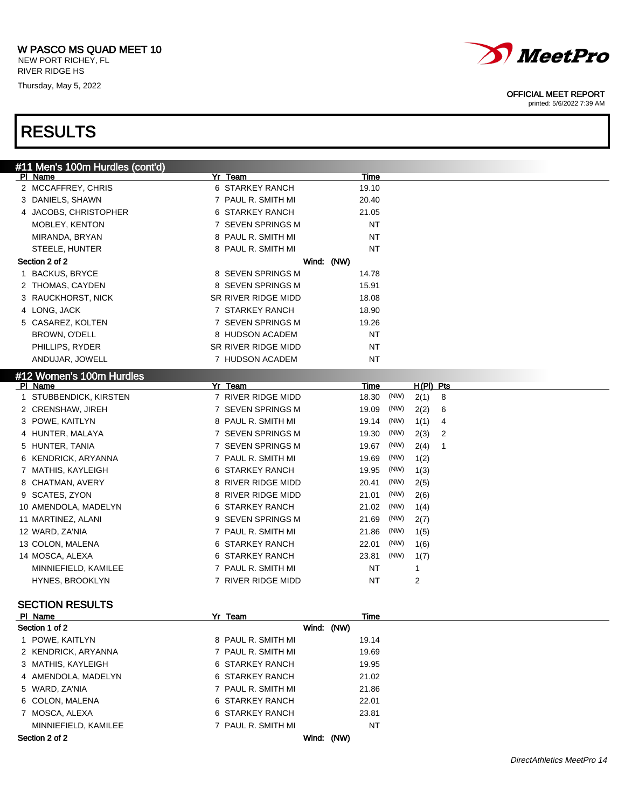### W PASCO MS QUAD MEET 10 NEW PORT RICHEY, FL

RIVER RIDGE HS

Thursday, May 5, 2022



### OFFICIAL MEET REPORT

printed: 5/6/2022 7:39 AM

## RESULTS

| #11 Men's 100m Hurdles (cont'd) |                                  |                             |
|---------------------------------|----------------------------------|-----------------------------|
| PI Name                         | Yr Team<br>Time                  |                             |
| 2 MCCAFFREY, CHRIS              | 6 STARKEY RANCH<br>19.10         |                             |
| 3 DANIELS, SHAWN                | 7 PAUL R. SMITH MI<br>20.40      |                             |
| 4 JACOBS, CHRISTOPHER           | 6 STARKEY RANCH<br>21.05         |                             |
| MOBLEY, KENTON                  | 7 SEVEN SPRINGS M<br><b>NT</b>   |                             |
| MIRANDA, BRYAN                  | 8 PAUL R. SMITH MI<br><b>NT</b>  |                             |
| STEELE, HUNTER                  | 8 PAUL R. SMITH MI<br>NT         |                             |
| Section 2 of 2                  | Wind: (NW)                       |                             |
| <b>BACKUS, BRYCE</b><br>1.      | 8 SEVEN SPRINGS M<br>14.78       |                             |
| 2 THOMAS, CAYDEN                | 8 SEVEN SPRINGS M<br>15.91       |                             |
| 3 RAUCKHORST, NICK              | SR RIVER RIDGE MIDD<br>18.08     |                             |
| 4 LONG, JACK                    | 7 STARKEY RANCH<br>18.90         |                             |
| 5 CASAREZ, KOLTEN               | 7 SEVEN SPRINGS M<br>19.26       |                             |
| BROWN, O'DELL                   | 8 HUDSON ACADEM<br><b>NT</b>     |                             |
| PHILLIPS, RYDER                 | <b>NT</b><br>SR RIVER RIDGE MIDD |                             |
| ANDUJAR, JOWELL                 | <b>NT</b><br>7 HUDSON ACADEM     |                             |
| #12 Women's 100m Hurdles        |                                  |                             |
| PI Name                         | Yr Team<br>Time                  | $H(PI)$ Pts                 |
| STUBBENDICK, KIRSTEN<br>1.      | 7 RIVER RIDGE MIDD<br>18.30      | (NW)<br>8<br>2(1)           |
| 2 CRENSHAW, JIREH               | 7 SEVEN SPRINGS M<br>19.09       | (NW)<br>2(2)<br>6           |
| 3 POWE, KAITLYN                 | 8 PAUL R. SMITH MI<br>19.14      | (NW)<br>1(1)<br>4           |
| 4 HUNTER, MALAYA                | 7 SEVEN SPRINGS M<br>19.30       | (NW)<br>2(3)<br>2           |
| 5 HUNTER, TANIA                 | 7 SEVEN SPRINGS M<br>19.67       | (NW)<br>2(4)<br>$\mathbf 1$ |
| 6 KENDRICK, ARYANNA             | 7 PAUL R. SMITH MI<br>19.69      | (NW)<br>1(2)                |
| 7 MATHIS, KAYLEIGH              | 6 STARKEY RANCH<br>19.95         | (NW)<br>1(3)                |
| 8 CHATMAN, AVERY                | 8 RIVER RIDGE MIDD<br>20.41      | (NW)<br>2(5)                |
| 9 SCATES, ZYON                  | 8 RIVER RIDGE MIDD<br>21.01      | (NW)<br>2(6)                |
| 10 AMENDOLA, MADELYN            | 6 STARKEY RANCH<br>21.02         | (NW)<br>1(4)                |
| 11 MARTINEZ, ALANI              | 9 SEVEN SPRINGS M<br>21.69       | (NW)<br>2(7)                |
| 12 WARD, ZA'NIA                 | 7 PAUL R. SMITH MI<br>21.86      | (NW)<br>1(5)                |
| 13 COLON, MALENA                | 6 STARKEY RANCH<br>22.01         | (NW)<br>1(6)                |
| 14 MOSCA, ALEXA                 | 6 STARKEY RANCH<br>23.81         | (NW)<br>1(7)                |
| MINNIEFIELD, KAMILEE            | 7 PAUL R. SMITH MI<br><b>NT</b>  | 1                           |
|                                 | 7 RIVER RIDGE MIDD<br>NT         | 2                           |
| <b>HYNES, BROOKLYN</b>          |                                  |                             |

| PI Name              | Yr Team            | Time       |  |
|----------------------|--------------------|------------|--|
| Section 1 of 2       |                    | Wind: (NW) |  |
| 1 POWE, KAITLYN      | 8 PAUL R. SMITH MI | 19.14      |  |
| 2 KENDRICK, ARYANNA  | 7 PAUL R. SMITH MI | 19.69      |  |
| 3 MATHIS, KAYLEIGH   | 6 STARKEY RANCH    | 19.95      |  |
| 4 AMENDOLA, MADELYN  | 6 STARKEY RANCH    | 21.02      |  |
| 5 WARD, ZA'NIA       | 7 PAUL R. SMITH MI | 21.86      |  |
| 6 COLON, MALENA      | 6 STARKEY RANCH    | 22.01      |  |
| 7 MOSCA, ALEXA       | 6 STARKEY RANCH    | 23.81      |  |
| MINNIEFIELD, KAMILEE | 7 PAUL R. SMITH MI | NT         |  |
| Section 2 of 2       | Wind:              | (NW)       |  |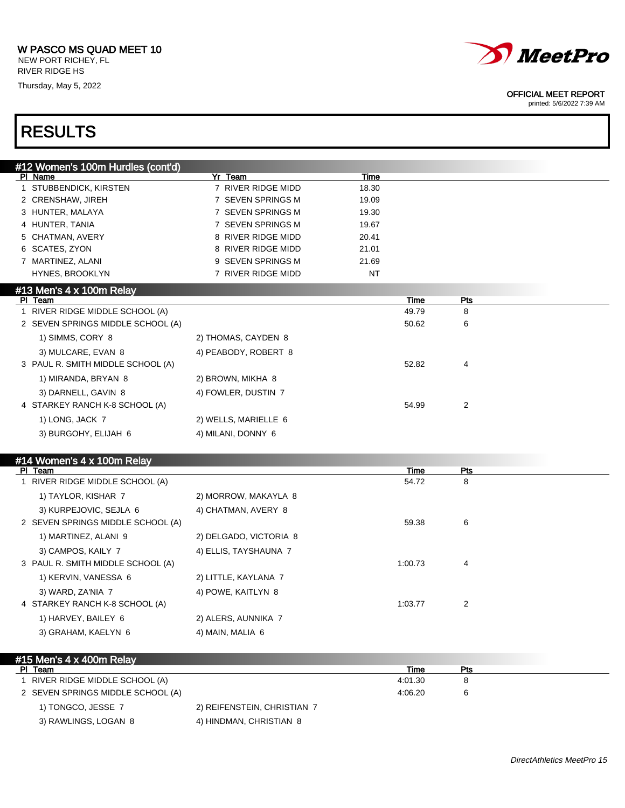Thursday, May 5, 2022



### OFFICIAL MEET REPORT

printed: 5/6/2022 7:39 AM

| #12 Women's 100m Hurdles (cont'd) |                        |       |             |     |  |
|-----------------------------------|------------------------|-------|-------------|-----|--|
| PI Name                           | Yr Team                | Time  |             |     |  |
| 1 STUBBENDICK, KIRSTEN            | 7 RIVER RIDGE MIDD     | 18.30 |             |     |  |
| 2 CRENSHAW, JIREH                 | 7 SEVEN SPRINGS M      | 19.09 |             |     |  |
| 3 HUNTER, MALAYA                  | 7 SEVEN SPRINGS M      | 19.30 |             |     |  |
| 4 HUNTER, TANIA                   | 7 SEVEN SPRINGS M      | 19.67 |             |     |  |
| 5 CHATMAN, AVERY                  | 8 RIVER RIDGE MIDD     | 20.41 |             |     |  |
| 6 SCATES, ZYON                    | 8 RIVER RIDGE MIDD     | 21.01 |             |     |  |
| 7 MARTINEZ, ALANI                 | 9 SEVEN SPRINGS M      | 21.69 |             |     |  |
| HYNES, BROOKLYN                   | 7 RIVER RIDGE MIDD     | NT    |             |     |  |
| #13 Men's 4 x 100m Relay          |                        |       |             |     |  |
| PI Team                           |                        |       | Time        | Pts |  |
| 1 RIVER RIDGE MIDDLE SCHOOL (A)   |                        |       | 49.79       | 8   |  |
| 2 SEVEN SPRINGS MIDDLE SCHOOL (A) |                        |       | 50.62       | 6   |  |
| 1) SIMMS, CORY 8                  | 2) THOMAS, CAYDEN 8    |       |             |     |  |
| 3) MULCARE, EVAN 8                | 4) PEABODY, ROBERT 8   |       |             |     |  |
| 3 PAUL R. SMITH MIDDLE SCHOOL (A) |                        |       | 52.82       | 4   |  |
| 1) MIRANDA, BRYAN 8               | 2) BROWN, MIKHA 8      |       |             |     |  |
| 3) DARNELL, GAVIN 8               | 4) FOWLER, DUSTIN 7    |       |             |     |  |
| 4 STARKEY RANCH K-8 SCHOOL (A)    |                        |       | 54.99       | 2   |  |
| 1) LONG, JACK 7                   | 2) WELLS, MARIELLE 6   |       |             |     |  |
| 3) BURGOHY, ELIJAH 6              | 4) MILANI, DONNY 6     |       |             |     |  |
|                                   |                        |       |             |     |  |
| #14 Women's 4 x 100m Relay        |                        |       |             |     |  |
| PI Team                           |                        |       | <b>Time</b> | Pts |  |
| 1 RIVER RIDGE MIDDLE SCHOOL (A)   |                        |       | 54.72       | 8   |  |
| 1) TAYLOR, KISHAR 7               | 2) MORROW, MAKAYLA 8   |       |             |     |  |
| 3) KURPEJOVIC, SEJLA 6            | 4) CHATMAN, AVERY 8    |       |             |     |  |
| 2 SEVEN SPRINGS MIDDLE SCHOOL (A) |                        |       | 59.38       | 6   |  |
| 1) MARTINEZ, ALANI 9              | 2) DELGADO, VICTORIA 8 |       |             |     |  |
| 3) CAMPOS, KAILY 7                | 4) ELLIS, TAYSHAUNA 7  |       |             |     |  |
| 3 PAUL R. SMITH MIDDLE SCHOOL (A) |                        |       | 1:00.73     | 4   |  |
|                                   |                        |       |             |     |  |
| 1) KERVIN, VANESSA 6              | 2) LITTLE, KAYLANA 7   |       |             |     |  |
| 3) WARD, ZA'NIA 7                 | 4) POWE, KAITLYN 8     |       |             |     |  |
| 4 STARKEY RANCH K-8 SCHOOL (A)    |                        |       | 1:03.77     | 2   |  |
| 1) HARVEY, BAILEY 6               | 2) ALERS, AUNNIKA 7    |       |             |     |  |
| 3) GRAHAM, KAELYN 6               | 4) MAIN, MALIA 6       |       |             |     |  |
|                                   |                        |       |             |     |  |

| $\#$ 15 Men's 4 x 400m Relay      |                             |         |     |  |
|-----------------------------------|-----------------------------|---------|-----|--|
| PI Team                           |                             | Time    | Pts |  |
| 1 RIVER RIDGE MIDDLE SCHOOL (A)   |                             | 4:01.30 |     |  |
| 2 SEVEN SPRINGS MIDDLE SCHOOL (A) |                             | 4:06.20 |     |  |
| 1) TONGCO, JESSE 7                | 2) REIFENSTEIN, CHRISTIAN 7 |         |     |  |
| 3) RAWLINGS, LOGAN 8              | 4) HINDMAN, CHRISTIAN 8     |         |     |  |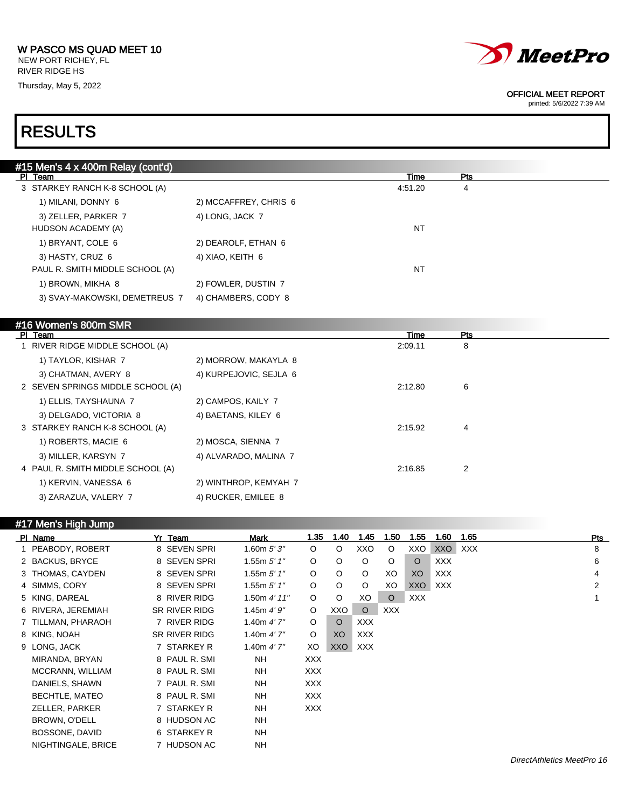NEW PORT RICHEY, FL RIVER RIDGE HS Thursday, May 5, 2022



#### OFFICIAL MEET REPORT

printed: 5/6/2022 7:39 AM

| #15 Men's 4 x 400m Relay (cont'd) |                        |             |                |  |
|-----------------------------------|------------------------|-------------|----------------|--|
| PI Team                           |                        | Time        | Pts            |  |
| 3 STARKEY RANCH K-8 SCHOOL (A)    |                        | 4:51.20     | 4              |  |
| 1) MILANI, DONNY 6                | 2) MCCAFFREY, CHRIS 6  |             |                |  |
| 3) ZELLER, PARKER 7               | 4) LONG, JACK 7        |             |                |  |
| HUDSON ACADEMY (A)                |                        | <b>NT</b>   |                |  |
| 1) BRYANT, COLE 6                 | 2) DEAROLF, ETHAN 6    |             |                |  |
| 3) HASTY, CRUZ 6                  | 4) XIAO, KEITH 6       |             |                |  |
| PAUL R. SMITH MIDDLE SCHOOL (A)   |                        | <b>NT</b>   |                |  |
| 1) BROWN, MIKHA 8                 | 2) FOWLER, DUSTIN 7    |             |                |  |
| 3) SVAY-MAKOWSKI, DEMETREUS 7     | 4) CHAMBERS, CODY 8    |             |                |  |
|                                   |                        |             |                |  |
| #16 Women's 800m SMR              |                        |             |                |  |
| PI Team                           |                        | <b>Time</b> | Pts            |  |
| 1 RIVER RIDGE MIDDLE SCHOOL (A)   |                        | 2:09.11     | 8              |  |
| 1) TAYLOR, KISHAR 7               | 2) MORROW, MAKAYLA 8   |             |                |  |
| 3) CHATMAN, AVERY 8               | 4) KURPEJOVIC, SEJLA 6 |             |                |  |
| 2 SEVEN SPRINGS MIDDLE SCHOOL (A) |                        | 2:12.80     | 6              |  |
| 1) ELLIS, TAYSHAUNA 7             | 2) CAMPOS, KAILY 7     |             |                |  |
| 3) DELGADO, VICTORIA 8            | 4) BAETANS, KILEY 6    |             |                |  |
| 3 STARKEY RANCH K-8 SCHOOL (A)    |                        | 2:15.92     | 4              |  |
| 1) ROBERTS, MACIE 6               | 2) MOSCA, SIENNA 7     |             |                |  |
| 3) MILLER, KARSYN 7               | 4) ALVARADO, MALINA 7  |             |                |  |
| 4 PAUL R. SMITH MIDDLE SCHOOL (A) |                        | 2:16.85     | $\overline{2}$ |  |
| 1) KERVIN, VANESSA 6              | 2) WINTHROP, KEMYAH 7  |             |                |  |
| 3) ZARAZUA, VALERY 7              | 4) RUCKER, EMILEE 8    |             |                |  |
|                                   |                        |             |                |  |

| #17 Men's High Jump |  |
|---------------------|--|
|                     |  |

| PI Name               | Yr Team       | Mark          | 1.35       | 1.40    | 1.45       | 1.50       | 1.55       | 1.60       | 1.65       | Pts |
|-----------------------|---------------|---------------|------------|---------|------------|------------|------------|------------|------------|-----|
| 1 PEABODY, ROBERT     | 8 SEVEN SPRI  | 1.60m $5'3''$ | $\circ$    | $\circ$ | XXO        | $\circ$    | XXO        | <b>XXO</b> | <b>XXX</b> | 8   |
| 2 BACKUS, BRYCE       | 8 SEVEN SPRI  | 1.55m 5' 1''  | $\circ$    | $\circ$ | $\circ$    | $\circ$    | $\circ$    | XXX        |            | 6   |
| 3 THOMAS, CAYDEN      | 8 SEVEN SPRI  | 1.55m 5' 1''  | $\circ$    | $\circ$ | $\circ$    | XO         | XO         | <b>XXX</b> |            | 4   |
| 4 SIMMS, CORY         | 8 SEVEN SPRI  | 1.55m 5'1''   | $\circ$    | $\circ$ | $\circ$    | XO         | XXO        | XXX        |            | 2   |
| 5 KING, DAREAL        | 8 RIVER RIDG  | 1.50m 4' 11'' | $\circ$    | $\circ$ | XO         | $\circ$    | <b>XXX</b> |            |            |     |
| 6 RIVERA, JEREMIAH    | SR RIVER RIDG | 1.45m 4'9''   | $\circ$    | XXO     | $\circ$    | <b>XXX</b> |            |            |            |     |
| 7 TILLMAN, PHARAOH    | 7 RIVER RIDG  | 1.40m $4'7''$ | $\circ$    | $\circ$ | <b>XXX</b> |            |            |            |            |     |
| 8 KING, NOAH          | SR RIVER RIDG | 1.40m $4'7''$ | $\circ$    | XO      | <b>XXX</b> |            |            |            |            |     |
| 9 LONG, JACK          | 7 STARKEY R   | 1.40m $4'7''$ | XO.        | XXO     | XXX        |            |            |            |            |     |
| MIRANDA, BRYAN        | 8 PAUL R. SMI | NΗ            | XXX        |         |            |            |            |            |            |     |
| MCCRANN, WILLIAM      | 8 PAUL R. SMI | <b>NH</b>     | XXX        |         |            |            |            |            |            |     |
| DANIELS, SHAWN        | 7 PAUL R. SMI | NΗ            | XXX        |         |            |            |            |            |            |     |
| <b>BECHTLE, MATEO</b> | 8 PAUL R. SMI | <b>NH</b>     | <b>XXX</b> |         |            |            |            |            |            |     |
| ZELLER, PARKER        | 7 STARKEY R   | NΗ            | XXX        |         |            |            |            |            |            |     |
| BROWN, O'DELL         | 8 HUDSON AC   | <b>NH</b>     |            |         |            |            |            |            |            |     |
| BOSSONE, DAVID        | 6 STARKEY R   | NΗ            |            |         |            |            |            |            |            |     |
| NIGHTINGALE, BRICE    | 7 HUDSON AC   | <b>NH</b>     |            |         |            |            |            |            |            |     |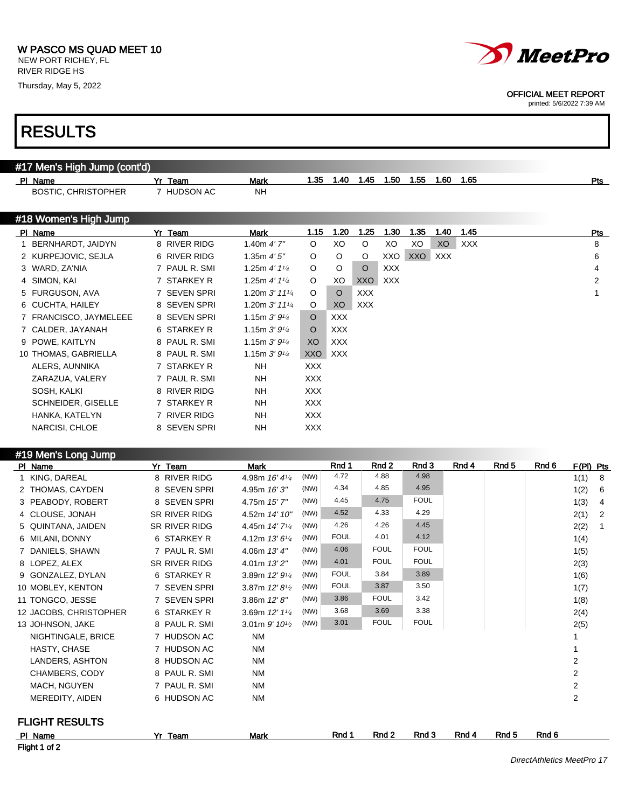NEW PORT RICHEY, FL RIVER RIDGE HS

Thursday, May 5, 2022



#### OFFICIAL MEET REPORT

printed: 5/6/2022 7:39 AM

| #17 Men's High Jump (cont'd) |               |                             |            |             |            |                  |             |      |       |                  |       |                |                |
|------------------------------|---------------|-----------------------------|------------|-------------|------------|------------------|-------------|------|-------|------------------|-------|----------------|----------------|
| PI Name                      | Yr Team       | <b>Mark</b>                 | 1.35       | 1.40        | 1.45       | 1.50             | 1.55        | 1.60 | 1.65  |                  |       |                | Pts            |
| <b>BOSTIC, CHRISTOPHER</b>   | 7 HUDSON AC   | NH                          |            |             |            |                  |             |      |       |                  |       |                |                |
|                              |               |                             |            |             |            |                  |             |      |       |                  |       |                |                |
| #18 Women's High Jump        |               |                             |            |             |            |                  |             |      |       |                  |       |                |                |
| PI Name                      | Yr Team       | Mark                        | 1.15       | 1.20        | 1.25       | 1.30             | 1.35        | 1.40 | 1.45  |                  |       |                | <u>Pts</u>     |
| 1 BERNHARDT, JAIDYN          | 8 RIVER RIDG  | 1.40 $m$ 4' $7"$            | O          | XO          | O          | XO               | XO          | XO   | XXX   |                  |       |                | 8              |
| 2 KURPEJOVIC, SEJLA          | 6 RIVER RIDG  | 1.35m 4'5''                 | O          | O           | O          | XXO              | XXO         | XXX  |       |                  |       |                | 6              |
| 3 WARD, ZA'NIA               | 7 PAUL R. SMI | 1.25m $4'$ 1 $\frac{1}{4}$  | O          | O           | $\circ$    | XXX              |             |      |       |                  |       |                | 4              |
| 4 SIMON, KAI                 | 7 STARKEY R   | 1.25m $4'$ 1 $\frac{1}{4}$  | O          | XO          | XXO        | <b>XXX</b>       |             |      |       |                  |       |                | $\overline{2}$ |
| 5 FURGUSON, AVA              | 7 SEVEN SPRI  | 1.20m $3'$ 11 $\frac{1}{4}$ | O          | $\circ$     | XXX        |                  |             |      |       |                  |       |                | $\mathbf{1}$   |
| 6 CUCHTA, HAILEY             | 8 SEVEN SPRI  | 1.20m $3'$ 11 $\frac{1}{4}$ | O          | XO          | <b>XXX</b> |                  |             |      |       |                  |       |                |                |
| 7 FRANCISCO, JAYMELEEE       | 8 SEVEN SPRI  | 1.15m $3'9\frac{1}{4}$      | O          | <b>XXX</b>  |            |                  |             |      |       |                  |       |                |                |
| 7 CALDER, JAYANAH            | 6 STARKEY R   | 1.15m $3'9\frac{1}{4}$      | O          | <b>XXX</b>  |            |                  |             |      |       |                  |       |                |                |
| 9 POWE, KAITLYN              | 8 PAUL R. SMI | 1.15m $3'9\frac{1}{4}$      | XO         | <b>XXX</b>  |            |                  |             |      |       |                  |       |                |                |
| 10 THOMAS, GABRIELLA         | 8 PAUL R. SMI | 1.15m $3'9'4$               | <b>XXO</b> | <b>XXX</b>  |            |                  |             |      |       |                  |       |                |                |
| ALERS, AUNNIKA               | 7 STARKEY R   | NΗ                          | <b>XXX</b> |             |            |                  |             |      |       |                  |       |                |                |
| ZARAZUA, VALERY              | 7 PAUL R. SMI | NΗ                          | <b>XXX</b> |             |            |                  |             |      |       |                  |       |                |                |
| SOSH, KALKI                  | 8 RIVER RIDG  | NΗ                          | <b>XXX</b> |             |            |                  |             |      |       |                  |       |                |                |
| <b>SCHNEIDER, GISELLE</b>    | 7 STARKEY R   | NΗ                          | <b>XXX</b> |             |            |                  |             |      |       |                  |       |                |                |
| HANKA, KATELYN               | 7 RIVER RIDG  | NΗ                          | <b>XXX</b> |             |            |                  |             |      |       |                  |       |                |                |
| NARCISI, CHLOE               | 8 SEVEN SPRI  | NΗ                          | XXX        |             |            |                  |             |      |       |                  |       |                |                |
|                              |               |                             |            |             |            |                  |             |      |       |                  |       |                |                |
| #19 Men's Long Jump          |               |                             |            |             |            |                  |             |      |       |                  |       |                |                |
| PI Name                      | Yr Team       | <b>Mark</b>                 |            | Rnd 1       |            | Rnd <sub>2</sub> | Rnd 3       |      | Rnd 4 | Rnd 5            | Rnd 6 | F(PI) Pts      |                |
| 1 KING, DAREAL               | 8 RIVER RIDG  | 4.98m 16' 41/4              | (NW)       | 4.72        |            | 4.88             | 4.98        |      |       |                  |       | 1(1)           | 8              |
| 2 THOMAS, CAYDEN             | 8 SEVEN SPRI  | 4.95m 16' 3"                | (NW)       | 4.34        |            | 4.85             | 4.95        |      |       |                  |       | 1(2)           | 6              |
| 3 PEABODY, ROBERT            | 8 SEVEN SPRI  | 4.75m 15' 7"                | (NW)       | 4.45        |            | 4.75             | <b>FOUL</b> |      |       |                  |       | 1(3)           | 4              |
| 4 CLOUSE, JONAH              | SR RIVER RIDG | 4.52m 14' 10"               | (NW)       | 4.52        |            | 4.33             | 4.29        |      |       |                  |       | 2(1)           | $\overline{2}$ |
| 5 QUINTANA, JAIDEN           | SR RIVER RIDG | 4.45m 14' 71/4              | (NW)       | 4.26        |            | 4.26             | 4.45        |      |       |                  |       | 2(2)           | $\mathbf{1}$   |
| 6 MILANI, DONNY              | 6 STARKEY R   | 4.12m 13' 61/4              | (NW)       | <b>FOUL</b> |            | 4.01             | 4.12        |      |       |                  |       | 1(4)           |                |
| 7 DANIELS, SHAWN             | 7 PAUL R. SMI | 4.06m 13' 4"                | (NW)       | 4.06        |            | FOUL             | <b>FOUL</b> |      |       |                  |       | 1(5)           |                |
| 8 LOPEZ, ALEX                | SR RIVER RIDG | 4.01m 13' 2"                | (NW)       | 4.01        |            | FOUL             | <b>FOUL</b> |      |       |                  |       | 2(3)           |                |
| 9 GONZALEZ, DYLAN            | 6 STARKEY R   | 3.89m $12'9'4$              | (NW)       | <b>FOUL</b> |            | 3.84             | 3.89        |      |       |                  |       | 1(6)           |                |
| 10 MOBLEY, KENTON            | 7 SEVEN SPRI  | 3.87m $12'8\frac{1}{2}$     | (NW)       | <b>FOUL</b> |            | 3.87             | 3.50        |      |       |                  |       | 1(7)           |                |
| 11 TONGCO, JESSE             | 7 SEVEN SPRI  | 3.86m 12'8''                | (NW)       | 3.86        |            | FOUL             | 3.42        |      |       |                  |       | 1(8)           |                |
| 12 JACOBS, CHRISTOPHER       | 6 STARKEY R   | 3.69m $12'$ $1\frac{1}{4}$  | (NW)       | 3.68        |            | 3.69             | 3.38        |      |       |                  |       | 2(4)           |                |
| 13 JOHNSON, JAKE             | 8 PAUL R. SMI | $3.01m$ $9'$ $10^{1/2}$     | (NW)       | 3.01        |            | <b>FOUL</b>      | <b>FOUL</b> |      |       |                  |       | 2(5)           |                |
| NIGHTINGALE, BRICE           | 7 HUDSON AC   | <b>NM</b>                   |            |             |            |                  |             |      |       |                  |       | 1              |                |
| HASTY, CHASE                 | 7 HUDSON AC   | <b>NM</b>                   |            |             |            |                  |             |      |       |                  |       | 1              |                |
| LANDERS, ASHTON              | 8 HUDSON AC   | ΝM                          |            |             |            |                  |             |      |       |                  |       | 2              |                |
| CHAMBERS, CODY               | 8 PAUL R. SMI | ΝM                          |            |             |            |                  |             |      |       |                  |       | 2              |                |
| MACH, NGUYEN                 | 7 PAUL R. SMI | ΝM                          |            |             |            |                  |             |      |       |                  |       | $\overline{c}$ |                |
| MEREDITY, AIDEN              | 6 HUDSON AC   | ΝM                          |            |             |            |                  |             |      |       |                  |       | $\overline{c}$ |                |
|                              |               |                             |            |             |            |                  |             |      |       |                  |       |                |                |
| <b>FLIGHT RESULTS</b>        |               |                             |            | Rnd 1       |            | Rnd <sub>2</sub> | Rnd 3       |      | Rnd 4 | Rnd <sub>5</sub> | Rnd 6 |                |                |
| PI Name                      | Yr Team       | <u>Mark</u>                 |            |             |            |                  |             |      |       |                  |       |                |                |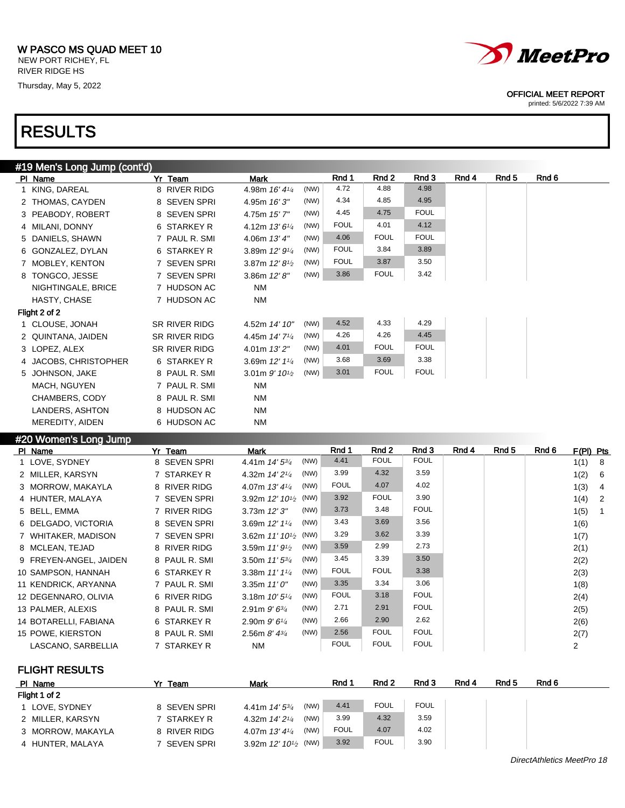Thursday, May 5, 2022

## RESULTS



### OFFICIAL MEET REPORT

printed: 5/6/2022 7:39 AM

| #19 Men's Long Jump (cont'd)                                                                  |                         |                                           |         |             |             |             |       |                  |       |             |
|-----------------------------------------------------------------------------------------------|-------------------------|-------------------------------------------|---------|-------------|-------------|-------------|-------|------------------|-------|-------------|
| PI Name                                                                                       | Yr Team                 | <b>Mark</b>                               |         | Rnd 1       | Rnd 2       | Rnd 3       | Rnd 4 | Rnd <sub>5</sub> | Rnd 6 |             |
| 1 KING, DAREAL                                                                                | 8 RIVER RIDG            | 4.98m 16' 41/4                            | (NW)    | 4.72        | 4.88        | 4.98        |       |                  |       |             |
| 2 THOMAS, CAYDEN                                                                              | 8 SEVEN SPRI            | 4.95m 16' 3"                              | (NW)    | 4.34        | 4.85        | 4.95        |       |                  |       |             |
| 3 PEABODY, ROBERT                                                                             | 8 SEVEN SPRI            | 4.75m 15' 7"                              | (NW)    | 4.45        | 4.75        | <b>FOUL</b> |       |                  |       |             |
| 4 MILANI, DONNY                                                                               | 6 STARKEY R             | 4.12m 13' 61/4                            | (NW)    | <b>FOUL</b> | 4.01        | 4.12        |       |                  |       |             |
| 5 DANIELS, SHAWN                                                                              | 7 PAUL R. SMI           | 4.06m $13'4''$                            | (NW)    | 4.06        | <b>FOUL</b> | <b>FOUL</b> |       |                  |       |             |
| 6 GONZALEZ, DYLAN                                                                             | 6 STARKEY R             | 3.89m 12' 91/4                            | (NW)    | <b>FOUL</b> | 3.84        | 3.89        |       |                  |       |             |
| 7 MOBLEY, KENTON                                                                              | 7 SEVEN SPRI            | 3.87m $12'8\frac{1}{2}$                   | (NW)    | <b>FOUL</b> | 3.87        | 3.50        |       |                  |       |             |
| 8 TONGCO, JESSE                                                                               | 7 SEVEN SPRI            | 3.86m $12'8''$                            | (NW)    | 3.86        | <b>FOUL</b> | 3.42        |       |                  |       |             |
| NIGHTINGALE, BRICE                                                                            | 7 HUDSON AC             | <b>NM</b>                                 |         |             |             |             |       |                  |       |             |
| HASTY, CHASE                                                                                  | 7 HUDSON AC             | ΝM                                        |         |             |             |             |       |                  |       |             |
| Flight 2 of 2                                                                                 |                         |                                           |         |             |             |             |       |                  |       |             |
| 1 CLOUSE, JONAH                                                                               | SR RIVER RIDG           | 4.52m 14' 10"                             | (NW)    | 4.52        | 4.33        | 4.29        |       |                  |       |             |
| 2 QUINTANA, JAIDEN                                                                            | <b>SR RIVER RIDG</b>    | 4.45m 14' 71/4                            | (NW)    | 4.26        | 4.26        | 4.45        |       |                  |       |             |
| 3 LOPEZ, ALEX                                                                                 | SR RIVER RIDG           | 4.01m 13'2"                               | (NW)    | 4.01        | <b>FOUL</b> | <b>FOUL</b> |       |                  |       |             |
| 4 JACOBS, CHRISTOPHER                                                                         | 6 STARKEY R             | 3.69m 12' 11/4                            | (NW)    | 3.68        | 3.69        | 3.38        |       |                  |       |             |
| 5 JOHNSON, JAKE                                                                               | 8 PAUL R. SMI           | 3.01m $9'$ 10 <sup>1</sup> / <sub>2</sub> | (NW)    | 3.01        | <b>FOUL</b> | <b>FOUL</b> |       |                  |       |             |
| MACH, NGUYEN                                                                                  | 7 PAUL R. SMI           | <b>NM</b>                                 |         |             |             |             |       |                  |       |             |
| CHAMBERS, CODY                                                                                | 8 PAUL R. SMI           | <b>NM</b>                                 |         |             |             |             |       |                  |       |             |
| LANDERS, ASHTON                                                                               | 8 HUDSON AC             | <b>NM</b>                                 |         |             |             |             |       |                  |       |             |
| MEREDITY, AIDEN                                                                               | 6 HUDSON AC             | <b>NM</b>                                 |         |             |             |             |       |                  |       |             |
| #20 Women's Long Jump                                                                         |                         |                                           |         |             |             |             |       |                  |       |             |
| PI Name                                                                                       | Yr Team                 | Mark                                      |         | Rnd 1       | Rnd 2       | Rnd 3       | Rnd 4 | Rnd 5            | Rnd 6 | $F(PI)$ Pts |
| $\cdot$ $\cdot$ $\sim$ $\cdot$ $\cdot$ $\sim$ $\cdot$ $\cdot$ $\cdot$ $\cdot$ $\cdot$ $\cdot$ | $- - - - - - - - - - -$ |                                           | (1.11A) | $A$ $A$ $A$ | <b>FOLU</b> | <b>FOLU</b> |       |                  |       |             |

| PI Name                | Team          | Mark                        |      | KNO 1       | KNO Z       | Rnd 3       | KNO 4 | Rna 5 | KNA 6 | $F(PI)$ Pts |                |
|------------------------|---------------|-----------------------------|------|-------------|-------------|-------------|-------|-------|-------|-------------|----------------|
| 1 LOVE, SYDNEY         | 8 SEVEN SPRI  | 4.41m $14'5^{3/4}$          | (NW) | 4.41        | <b>FOUL</b> | <b>FOUL</b> |       |       |       | 1(1)        | - 8            |
| 2 MILLER, KARSYN       | 7 STARKEY R   | 4.32m $14'2^{1/4}$          | (NW) | 3.99        | 4.32        | 3.59        |       |       |       | 1(2)        | - 6            |
| 3 MORROW, MAKAYLA      | 8 RIVER RIDG  | 4.07m $13'4\frac{1}{4}$     | (NW) | <b>FOUL</b> | 4.07        | 4.02        |       |       |       | 1(3)        | -4             |
| 4 HUNTER, MALAYA       | 7 SEVEN SPRI  | 3.92m $12' 10^{1/2}$ (NW)   |      | 3.92        | <b>FOUL</b> | 3.90        |       |       |       | 1(4)        | $\overline{2}$ |
| 5 BELL, EMMA           | 7 RIVER RIDG  | $3.73m$ $12'3''$            | (NW) | 3.73        | 3.48        | <b>FOUL</b> |       |       |       | 1(5)        | $\overline{1}$ |
| 6 DELGADO, VICTORIA    | 8 SEVEN SPRI  | 3.69m $12'$ $1\frac{1}{4}$  | (NW) | 3.43        | 3.69        | 3.56        |       |       |       | 1(6)        |                |
| 7 WHITAKER, MADISON    | 7 SEVEN SPRI  | 3.62m $11'$ $10\frac{1}{2}$ | (NW) | 3.29        | 3.62        | 3.39        |       |       |       | 1(7)        |                |
| 8 MCLEAN, TEJAD        | 8 RIVER RIDG  | 3.59m $11'9'$               | (NW) | 3.59        | 2.99        | 2.73        |       |       |       | 2(1)        |                |
| 9 FREYEN-ANGEL, JAIDEN | 8 PAUL R. SMI | 3.50m $11'5^{3/4}$          | (NW) | 3.45        | 3.39        | 3.50        |       |       |       | 2(2)        |                |
| 10 SAMPSON, HANNAH     | 6 STARKEY R   | 3.38m $11'1'4$              | (NW) | <b>FOUL</b> | <b>FOUL</b> | 3.38        |       |       |       | 2(3)        |                |
| 11 KENDRICK, ARYANNA   | 7 PAUL R. SMI | 3.35m $11'0''$              | (NW) | 3.35        | 3.34        | 3.06        |       |       |       | 1(8)        |                |
| 12 DEGENNARO, OLIVIA   | 6 RIVER RIDG  | 3.18m $10'5\frac{1}{4}$     | (NW) | <b>FOUL</b> | 3.18        | <b>FOUL</b> |       |       |       | 2(4)        |                |
| 13 PALMER, ALEXIS      | 8 PAUL R. SMI | 2.91m $9'6^{3/4}$           | (NW) | 2.71        | 2.91        | <b>FOUL</b> |       |       |       | 2(5)        |                |
| 14 BOTARELLI, FABIANA  | 6 STARKEY R   | 2.90m $9'6''$               | (NW) | 2.66        | 2.90        | 2.62        |       |       |       | 2(6)        |                |
| 15 POWE, KIERSTON      | 8 PAUL R. SMI | 2.56m $8'$ 4 $\frac{3}{4}$  | (NW) | 2.56        | <b>FOUL</b> | <b>FOUL</b> |       |       |       | 2(7)        |                |
| LASCANO, SARBELLIA     | 7 STARKEY R   | NM                          |      | <b>FOUL</b> | <b>FOUL</b> | <b>FOUL</b> |       |       |       | 2           |                |

FLIGHT RESULTS

| PI Name           | Team         | Mark                            | Rnd 1       | Rnd 2       | Rnd 3       | Rnd 4 | Rnd <sub>5</sub> | Rnd 6 |
|-------------------|--------------|---------------------------------|-------------|-------------|-------------|-------|------------------|-------|
| Flight 1 of 2     |              |                                 |             |             |             |       |                  |       |
| 1 LOVE, SYDNEY    | 8 SEVEN SPRI | (NW)<br>4.41m $14'5\frac{3}{4}$ | 4.41        | <b>FOUL</b> | <b>FOUL</b> |       |                  |       |
| 2 MILLER, KARSYN  | 7 STARKEY R  | (NW)<br>4.32m $14'2\frac{1}{4}$ | 3.99        | 4.32        | 3.59        |       |                  |       |
| 3 MORROW, MAKAYLA | 8 RIVER RIDG | (NW)<br>4.07m $13'4\frac{1}{4}$ | <b>FOUL</b> | 4.07        | 4.02        |       |                  |       |
| 4 HUNTER, MALAYA  | 7 SEVEN SPRI | 3.92m $12' 10^{1/2}$ (NW) $\&$  | 3.92        | <b>FOUL</b> | 3.90        |       |                  |       |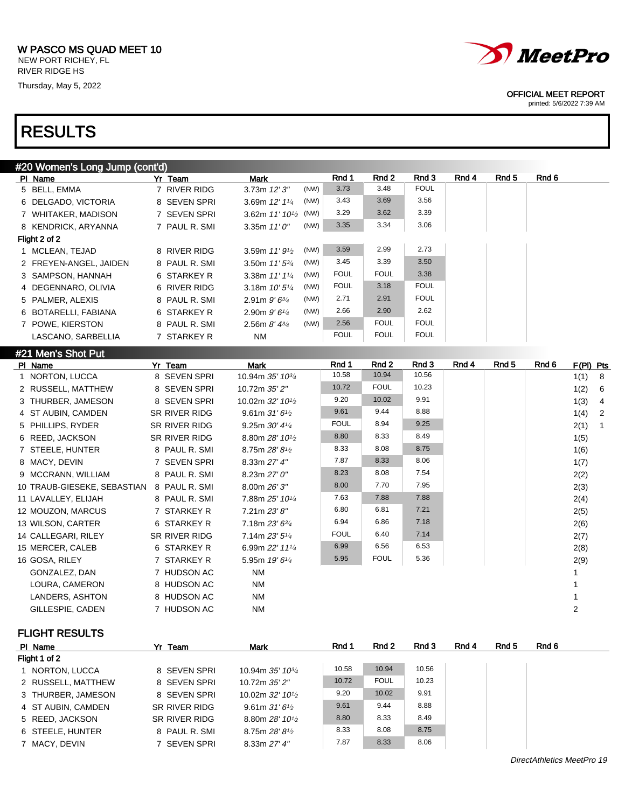Thursday, May 5, 2022

## RESULTS



### OFFICIAL MEET REPORT

printed: 5/6/2022 7:39 AM

| #20 Women's Long Jump (cont'd) |               |                                               |      |             |                  |             |       |                  |       |                        |
|--------------------------------|---------------|-----------------------------------------------|------|-------------|------------------|-------------|-------|------------------|-------|------------------------|
| PI Name                        | Yr Team       | <b>Mark</b>                                   |      | Rnd 1       | Rnd 2            | Rnd 3       | Rnd 4 | Rnd 5            | Rnd 6 |                        |
| 5 BELL, EMMA                   | 7 RIVER RIDG  | 3.73m 12'3"                                   | (NW) | 3.73        | 3.48             | <b>FOUL</b> |       |                  |       |                        |
| 6 DELGADO, VICTORIA            | 8 SEVEN SPRI  | 3.69m 12' 11/4                                | (NW) | 3.43        | 3.69             | 3.56        |       |                  |       |                        |
| 7 WHITAKER, MADISON            | 7 SEVEN SPRI  | 3.62m 11' 10 <sup>1</sup> / <sub>2</sub> (NW) |      | 3.29        | 3.62             | 3.39        |       |                  |       |                        |
| 8 KENDRICK, ARYANNA            | 7 PAUL R. SMI | 3.35m $11'0''$                                | (NW) | 3.35        | 3.34             | 3.06        |       |                  |       |                        |
| Flight 2 of 2                  |               |                                               |      |             |                  |             |       |                  |       |                        |
| 1 MCLEAN, TEJAD                | 8 RIVER RIDG  | 3.59m $11'9'$                                 | (NW) | 3.59        | 2.99             | 2.73        |       |                  |       |                        |
| 2 FREYEN-ANGEL, JAIDEN         | 8 PAUL R. SMI | 3.50m 11' 53/4                                | (NW) | 3.45        | 3.39             | 3.50        |       |                  |       |                        |
| 3 SAMPSON, HANNAH              | 6 STARKEY R   | 3.38m 11' 11/4                                | (NW) | <b>FOUL</b> | <b>FOUL</b>      | 3.38        |       |                  |       |                        |
| 4 DEGENNARO, OLIVIA            | 6 RIVER RIDG  | 3.18m $10'5\frac{1}{4}$                       | (NW) | <b>FOUL</b> | 3.18             | <b>FOUL</b> |       |                  |       |                        |
| 5 PALMER, ALEXIS               | 8 PAUL R. SMI | 2.91m $9'6^{3/4}$                             | (NW) | 2.71        | 2.91             | <b>FOUL</b> |       |                  |       |                        |
| 6 BOTARELLI, FABIANA           | 6 STARKEY R   | 2.90m 9'61/4                                  | (NW) | 2.66        | 2.90             | 2.62        |       |                  |       |                        |
| 7 POWE, KIERSTON               | 8 PAUL R. SMI | 2.56m $8'$ 4 $\frac{3}{4}$                    | (NW) | 2.56        | <b>FOUL</b>      | <b>FOUL</b> |       |                  |       |                        |
| LASCANO, SARBELLIA             | 7 STARKEY R   | <b>NM</b>                                     |      | <b>FOUL</b> | <b>FOUL</b>      | <b>FOUL</b> |       |                  |       |                        |
| #21 Men's Shot Put             |               |                                               |      |             |                  |             |       |                  |       |                        |
| PI Name                        | Yr Team       | <b>Mark</b>                                   |      | Rnd 1       | Rnd <sub>2</sub> | Rnd 3       | Rnd 4 | Rnd <sub>5</sub> | Rnd 6 | F(PI) Pts              |
| 1 NORTON, LUCCA                | 8 SEVEN SPRI  | 10.94m 35' 103/4                              |      | 10.58       | 10.94            | 10.56       |       |                  |       | 1(1)<br>- 8            |
| 2 RUSSELL, MATTHEW             | 8 SEVEN SPRI  | 10.72m 35' 2"                                 |      | 10.72       | <b>FOUL</b>      | 10.23       |       |                  |       | 1(2)<br>6              |
| 3 THURBER, JAMESON             | 8 SEVEN SPRI  | 10.02m 32' 101/2                              |      | 9.20        | 10.02            | 9.91        |       |                  |       | 1(3)<br>$\overline{4}$ |
| 4 ST AUBIN, CAMDEN             | SR RIVER RIDG | 9.61m $31'6'$                                 |      | 9.61        | 9.44             | 8.88        |       |                  |       | $\overline{2}$<br>1(4) |
| 5 PHILLIPS, RYDER              | SR RIVER RIDG | 9.25m 30' 41/4                                |      | <b>FOUL</b> | 8.94             | 9.25        |       |                  |       | 2(1)<br>$\overline{1}$ |
| 6 REED, JACKSON                | SR RIVER RIDG | 8.80m 28' 10 <sup>1/2</sup>                   |      | 8.80        | 8.33             | 8.49        |       |                  |       | 1(5)                   |
| 7 STEELE, HUNTER               | 8 PAUL R. SMI | 8.75m 28' 81/2                                |      | 8.33        | 8.08             | 8.75        |       |                  |       | 1(6)                   |
| 8 MACY, DEVIN                  | 7 SEVEN SPRI  | 8.33m 27' 4"                                  |      | 7.87        | 8.33             | 8.06        |       |                  |       | 1(7)                   |
| 9 MCCRANN, WILLIAM             | 8 PAUL R. SMI | 8.23m 27' 0"                                  |      | 8.23        | 8.08             | 7.54        |       |                  |       | 2(2)                   |
| 10 TRAUB-GIESEKE, SEBASTIAN    | 8 PAUL R. SMI | 8.00m 26' 3"                                  |      | 8.00        | 7.70             | 7.95        |       |                  |       | 2(3)                   |
| 11 LAVALLEY, ELIJAH            | 8 PAUL R. SMI | 7.88m 25' 101/4                               |      | 7.63        | 7.88             | 7.88        |       |                  |       | 2(4)                   |
| 12 MOUZON, MARCUS              | 7 STARKEY R   | 7.21m 23' 8"                                  |      | 6.80        | 6.81             | 7.21        |       |                  |       | 2(5)                   |
| 13 WILSON, CARTER              | 6 STARKEY R   | 7.18m 23' 6 <sup>3/4</sup>                    |      | 6.94        | 6.86             | 7.18        |       |                  |       | 2(6)                   |
| 14 CALLEGARI, RILEY            | SR RIVER RIDG | 7.14m 23' 51/4                                |      | <b>FOUL</b> | 6.40             | 7.14        |       |                  |       | 2(7)                   |
| 15 MERCER, CALEB               | 6 STARKEY R   | 6.99m 22' 111/4                               |      | 6.99        | 6.56             | 6.53        |       |                  |       | 2(8)                   |
| 16 GOSA, RILEY                 | 7 STARKEY R   | 5.95m 19' 61/4                                |      | 5.95        | <b>FOUL</b>      | 5.36        |       |                  |       | 2(9)                   |
| GONZALEZ, DAN                  | 7 HUDSON AC   | <b>NM</b>                                     |      |             |                  |             |       |                  |       | $\mathbf{1}$           |
| LOURA, CAMERON                 | 8 HUDSON AC   | <b>NM</b>                                     |      |             |                  |             |       |                  |       | 1                      |
| <b>LANDERS, ASHTON</b>         | 8 HUDSON AC   | <b>NM</b>                                     |      |             |                  |             |       |                  |       | $\mathbf{1}$           |
| GILLESPIE, CADEN               | 7 HUDSON AC   | <b>NM</b>                                     |      |             |                  |             |       |                  |       | $\overline{c}$         |
|                                |               |                                               |      |             |                  |             |       |                  |       |                        |

FLIGHT RESULTS

| PI Name            | Yr Team       | <b>Mark</b>                               | Rnd 1 | Rnd 2       | Rnd 3 | Rnd 4 | Rnd 5 | Rnd 6 |
|--------------------|---------------|-------------------------------------------|-------|-------------|-------|-------|-------|-------|
| Flight 1 of 2      |               |                                           |       |             |       |       |       |       |
| 1 NORTON, LUCCA    | 8 SEVEN SPRI  | 10.94m 35' 10 <sup>3/4</sup>              | 10.58 | 10.94       | 10.56 |       |       |       |
| 2 RUSSELL, MATTHEW | 8 SEVEN SPRI  | 10.72m 35' 2"                             | 10.72 | <b>FOUL</b> | 10.23 |       |       |       |
| 3 THURBER, JAMESON | 8 SEVEN SPRI  | 10.02m 32' 10 <sup>1</sup> / <sub>2</sub> | 9.20  | 10.02       | 9.91  |       |       |       |
| 4 ST AUBIN, CAMDEN | SR RIVER RIDG | 9.61m $31'6'$                             | 9.61  | 9.44        | 8.88  |       |       |       |
| 5 REED, JACKSON    | SR RIVER RIDG | 8.80m 28' 10 <sup>1</sup> / <sub>2</sub>  | 8.80  | 8.33        | 8.49  |       |       |       |
| 6 STEELE, HUNTER   | 8 PAUL R. SMI | 8.75m $28'8'$                             | 8.33  | 8.08        | 8.75  |       |       |       |
| 7 MACY, DEVIN      | 7 SEVEN SPRI  | 8.33m 27' 4"                              | 7.87  | 8.33        | 8.06  |       |       |       |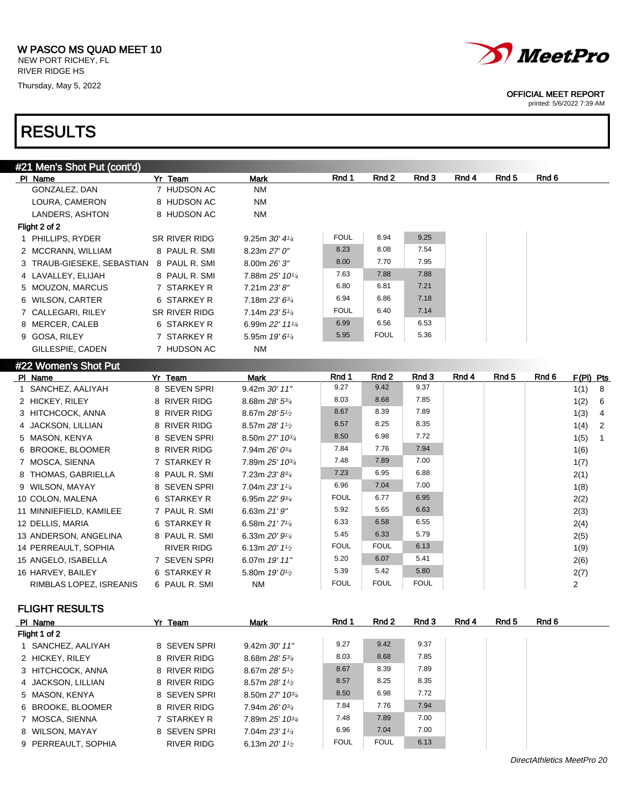NEW PORT RICHEY, FL RIVER RIDGE HS Thursday, May 5, 2022

## RESULTS

| #21 Men's Shot Put (cont'd) |               |                             |             |             |       |       |       |       |
|-----------------------------|---------------|-----------------------------|-------------|-------------|-------|-------|-------|-------|
| PI Name                     | Yr Team       | Mark                        | Rnd 1       | Rnd 2       | Rnd 3 | Rnd 4 | Rnd 5 | Rnd 6 |
| GONZALEZ, DAN               | 7 HUDSON AC   | <b>NM</b>                   |             |             |       |       |       |       |
| LOURA, CAMERON              | 8 HUDSON AC   | <b>NM</b>                   |             |             |       |       |       |       |
| LANDERS, ASHTON             | 8 HUDSON AC   | <b>NM</b>                   |             |             |       |       |       |       |
| Flight 2 of 2               |               |                             |             |             |       |       |       |       |
| 1 PHILLIPS, RYDER           | SR RIVER RIDG | 9.25m $30'$ 4 $\frac{1}{4}$ | <b>FOUL</b> | 8.94        | 9.25  |       |       |       |
| 2 MCCRANN, WILLIAM          | 8 PAUL R. SMI | 8.23m 27'0''                | 8.23        | 8.08        | 7.54  |       |       |       |
| 3 TRAUB-GIESEKE, SEBASTIAN  | 8 PAUL R. SMI | 8.00m 26'3''                | 8.00        | 7.70        | 7.95  |       |       |       |
| 4 LAVALLEY, ELIJAH          | 8 PAUL R. SMI | 7.88m 25' 101/4             | 7.63        | 7.88        | 7.88  |       |       |       |
| 5 MOUZON, MARCUS            | 7 STARKEY R   | 7.21m 23'8''                | 6.80        | 6.81        | 7.21  |       |       |       |
| 6 WILSON, CARTER            | 6 STARKEY R   | $7.18m 23' 6^{3/4}$         | 6.94        | 6.86        | 7.18  |       |       |       |
| 7 CALLEGARI, RILEY          | SR RIVER RIDG | 7.14m $23'5''$              | <b>FOUL</b> | 6.40        | 7.14  |       |       |       |
| 8 MERCER, CALEB             | 6 STARKEY R   | 6.99m 22' 111/4             | 6.99        | 6.56        | 6.53  |       |       |       |
| 9 GOSA, RILEY               | 7 STARKEY R   | 5.95m $19'6''$              | 5.95        | <b>FOUL</b> | 5.36  |       |       |       |
| GILLESPIE, CADEN            | 7 HUDSON AC   | NM                          |             |             |       |       |       |       |
| 400 Manazir OL 24 D. 4      |               |                             |             |             |       |       |       |       |

| #ZZ VVUIIIEII S ƏHULFUL |               |                              |             |             |             |       |                  |       |           |                |
|-------------------------|---------------|------------------------------|-------------|-------------|-------------|-------|------------------|-------|-----------|----------------|
| PI Name                 | Yr Team       | Mark                         | Rnd 1       | Rnd 2       | Rnd 3       | Rnd 4 | Rnd <sub>5</sub> | Rnd 6 | F(PI) Pts |                |
| 1 SANCHEZ, AALIYAH      | 8 SEVEN SPRI  | $9.42m$ $30'$ $11"$          | 9.27        | 9.42        | 9.37        |       |                  |       | 1(1) 8    |                |
| 2 HICKEY, RILEY         | 8 RIVER RIDG  | 8.68m $28'$ 5 $\frac{3}{4}$  | 8.03        | 8.68        | 7.85        |       |                  |       | 1(2)      | 6              |
| 3 HITCHCOCK, ANNA       | 8 RIVER RIDG  | 8.67m $28'5\frac{1}{2}$      | 8.67        | 8.39        | 7.89        |       |                  |       | 1(3)      | $\overline{4}$ |
| 4 JACKSON, LILLIAN      | 8 RIVER RIDG  | 8.57m $28'$ 1 <sup>1/2</sup> | 8.57        | 8.25        | 8.35        |       |                  |       | 1(4)      | $\overline{2}$ |
| 5 MASON, KENYA          | 8 SEVEN SPRI  | 8.50m 27' 10 <sup>3/4</sup>  | 8.50        | 6.98        | 7.72        |       |                  |       | 1(5)      | $\overline{1}$ |
| 6 BROOKE, BLOOMER       | 8 RIVER RIDG  | 7.94m $26'0^{3/4}$           | 7.84        | 7.76        | 7.94        |       |                  |       | 1(6)      |                |
| 7 MOSCA, SIENNA         | 7 STARKEY R   | 7.89m 25' 10 <sup>3/4</sup>  | 7.48        | 7.89        | 7.00        |       |                  |       | 1(7)      |                |
| 8 THOMAS, GABRIELLA     | 8 PAUL R. SMI | 7.23m 23' 83/4               | 7.23        | 6.95        | 6.88        |       |                  |       | 2(1)      |                |
| 9 WILSON, MAYAY         | 8 SEVEN SPRI  | 7.04m 23' 11/4               | 6.96        | 7.04        | 7.00        |       |                  |       | 1(8)      |                |
| 10 COLON, MALENA        | 6 STARKEY R   | 6.95m $22'$ $9\frac{3}{4}$   | <b>FOUL</b> | 6.77        | 6.95        |       |                  |       | 2(2)      |                |
| 11 MINNIEFIELD, KAMILEE | 7 PAUL R. SMI | 6.63m $21'9''$               | 5.92        | 5.65        | 6.63        |       |                  |       | 2(3)      |                |
| 12 DELLIS, MARIA        | 6 STARKEY R   | 6.58m $21'7'4$               | 6.33        | 6.58        | 6.55        |       |                  |       | 2(4)      |                |
| 13 ANDERSON, ANGELINA   | 8 PAUL R. SMI | 6.33m $20'9'4$               | 5.45        | 6.33        | 5.79        |       |                  |       | 2(5)      |                |
| 14 PERREAULT, SOPHIA    | RIVER RIDG    | 6.13m $20'$ 1 <sup>1/2</sup> | <b>FOUL</b> | <b>FOUL</b> | 6.13        |       |                  |       | 1(9)      |                |
| 15 ANGELO, ISABELLA     | 7 SEVEN SPRI  | 6.07m 19' 11"                | 5.20        | 6.07        | 5.41        |       |                  |       | 2(6)      |                |
| 16 HARVEY, BAILEY       | 6 STARKEY R   | 5.80m $19'0\frac{1}{2}$      | 5.39        | 5.42        | 5.80        |       |                  |       | 2(7)      |                |
| RIMBLAS LOPEZ, ISREANIS | 6 PAUL R. SMI | NM                           | <b>FOUL</b> | <b>FOUL</b> | <b>FOUL</b> |       |                  |       | 2         |                |

FLIGHT RESULTS

| PI Name             | Yr Team      | <b>Mark</b>                               | Rnd 1       | Rnd 2       | Rnd 3 | Rnd 4 | Rnd 5 | Rnd 6 |
|---------------------|--------------|-------------------------------------------|-------------|-------------|-------|-------|-------|-------|
| Flight 1 of 2       |              |                                           |             |             |       |       |       |       |
| 1 SANCHEZ, AALIYAH  | 8 SEVEN SPRI | $9.42m$ $30'$ $11"$                       | 9.27        | 9.42        | 9.37  |       |       |       |
| 2 HICKEY, RILEY     | 8 RIVER RIDG | 8.68m $28'5^{3}/4$                        | 8.03        | 8.68        | 7.85  |       |       |       |
| 3 HITCHCOCK, ANNA   | 8 RIVER RIDG | 8.67m $28'5\frac{1}{2}$                   | 8.67        | 8.39        | 7.89  |       |       |       |
| 4 JACKSON, LILLIAN  | 8 RIVER RIDG | 8.57m $28'1\%$                            | 8.57        | 8.25        | 8.35  |       |       |       |
| 5 MASON, KENYA      | 8 SEVEN SPRI | 8.50m 27' 10 <sup>3/4</sup>               | 8.50        | 6.98        | 7.72  |       |       |       |
| 6 BROOKE, BLOOMER   | 8 RIVER RIDG | $7.94m 26' 0^{3/4}$                       | 7.84        | 7.76        | 7.94  |       |       |       |
| 7 MOSCA, SIENNA     | 7 STARKEY R  | 7.89m 25' 10 <sup>3/4</sup>               | 7.48        | 7.89        | 7.00  |       |       |       |
| 8 WILSON, MAYAY     | 8 SEVEN SPRI | 7.04m 23' 11/4                            | 6.96        | 7.04        | 7.00  |       |       |       |
| 9 PERREAULT, SOPHIA | RIVER RIDG   | 6.13m $20'$ 1 <sup>1</sup> / <sub>2</sub> | <b>FOUL</b> | <b>FOUL</b> | 6.13  |       |       |       |



OFFICIAL MEET REPORT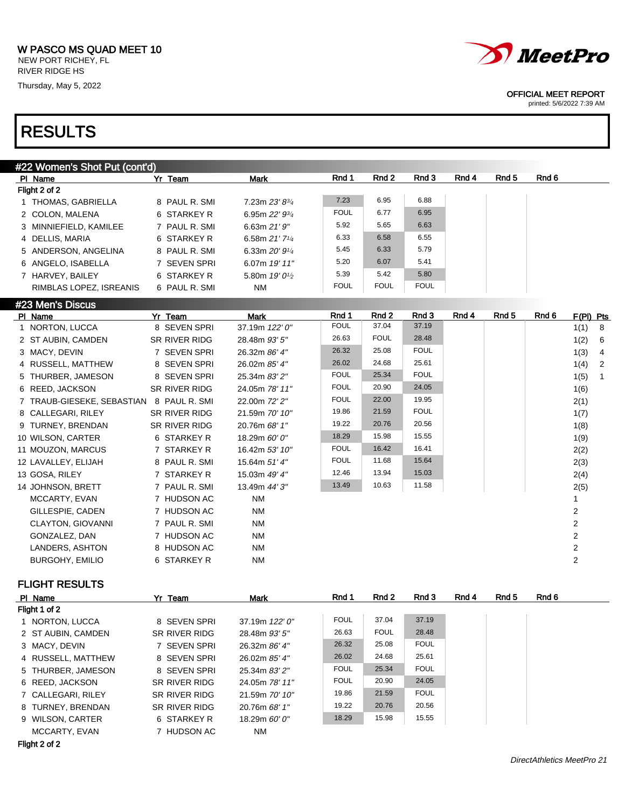Thursday, May 5, 2022

## RESULTS

| #22 Women's Shot Put (cont'd)            |                      |                                         |             |             |             |       |                  |       |              |
|------------------------------------------|----------------------|-----------------------------------------|-------------|-------------|-------------|-------|------------------|-------|--------------|
| PI Name                                  | Yr Team              | <b>Mark</b>                             | Rnd 1       | Rnd 2       | Rnd 3       | Rnd 4 | Rnd <sub>5</sub> | Rnd 6 |              |
| Flight 2 of 2                            |                      |                                         |             |             |             |       |                  |       |              |
| 1 THOMAS, GABRIELLA                      | 8 PAUL R. SMI        | 7.23m 23' 83/4                          | 7.23        | 6.95        | 6.88        |       |                  |       |              |
| 2 COLON, MALENA                          | 6 STARKEY R          | 6.95m 22' 93/4                          | <b>FOUL</b> | 6.77        | 6.95        |       |                  |       |              |
| 3 MINNIEFIELD, KAMILEE                   | 7 PAUL R. SMI        | 6.63m 21'9"                             | 5.92        | 5.65        | 6.63        |       |                  |       |              |
| 4 DELLIS, MARIA                          | 6 STARKEY R          | 6.58m 21' 71/4                          | 6.33        | 6.58        | 6.55        |       |                  |       |              |
| 5 ANDERSON, ANGELINA                     | 8 PAUL R. SMI        | 6.33m 20' 91/4                          | 5.45        | 6.33        | 5.79        |       |                  |       |              |
| 6 ANGELO, ISABELLA                       | 7 SEVEN SPRI         | 6.07m 19' 11"                           | 5.20        | 6.07        | 5.41        |       |                  |       |              |
| 7 HARVEY, BAILEY                         | 6 STARKEY R          | 5.80m 19' 0 <sup>1</sup> / <sub>2</sub> | 5.39        | 5.42        | 5.80        |       |                  |       |              |
| RIMBLAS LOPEZ, ISREANIS                  | 6 PAUL R. SMI        | <b>NM</b>                               | <b>FOUL</b> | <b>FOUL</b> | <b>FOUL</b> |       |                  |       |              |
| #23 Men's Discus                         |                      |                                         |             |             |             |       |                  |       |              |
| PI Name                                  | Yr Team              | <b>Mark</b>                             | Rnd 1       | Rnd 2       | Rnd 3       | Rnd 4 | Rnd <sub>5</sub> | Rnd 6 | F(PI) Pts    |
| 1 NORTON, LUCCA                          | 8 SEVEN SPRI         | 37.19m 122' 0"                          | <b>FOUL</b> | 37.04       | 37.19       |       |                  |       | 1(1)         |
| 2 ST AUBIN, CAMDEN                       | <b>SR RIVER RIDG</b> | 28.48m 93' 5"                           | 26.63       | <b>FOUL</b> | 28.48       |       |                  |       | 1(2)         |
| 3 MACY, DEVIN                            | 7 SEVEN SPRI         | 26.32m 86' 4"                           | 26.32       | 25.08       | <b>FOUL</b> |       |                  |       | 1(3)         |
| 4 RUSSELL, MATTHEW                       | 8 SEVEN SPRI         | 26.02m 85' 4"                           | 26.02       | 24.68       | 25.61       |       |                  |       | 1(4)         |
| 5 THURBER, JAMESON                       | 8 SEVEN SPRI         | 25.34m 83' 2"                           | <b>FOUL</b> | 25.34       | <b>FOUL</b> |       |                  |       | 1(5)         |
| 6 REED, JACKSON                          | SR RIVER RIDG        | 24.05m 78' 11"                          | <b>FOUL</b> | 20.90       | 24.05       |       |                  |       | 1(6)         |
| 7 TRAUB-GIESEKE, SEBASTIAN 8 PAUL R. SMI |                      | 22.00m 72' 2"                           | <b>FOUL</b> | 22.00       | 19.95       |       |                  |       | 2(1)         |
| 8 CALLEGARI, RILEY                       | <b>SR RIVER RIDG</b> | 21.59m 70' 10"                          | 19.86       | 21.59       | <b>FOUL</b> |       |                  |       | 1(7)         |
| 9 TURNEY, BRENDAN                        | SR RIVER RIDG        | 20.76m 68' 1"                           | 19.22       | 20.76       | 20.56       |       |                  |       | 1(8)         |
| 10 WILSON, CARTER                        | 6 STARKEY R          | 18.29m 60' 0"                           | 18.29       | 15.98       | 15.55       |       |                  |       | 1(9)         |
| 11 MOUZON, MARCUS                        | 7 STARKEY R          | 16.42m 53' 10"                          | <b>FOUL</b> | 16.42       | 16.41       |       |                  |       | 2(2)         |
| 12 LAVALLEY, ELIJAH                      | 8 PAUL R. SMI        | 15.64m 51' 4"                           | <b>FOUL</b> | 11.68       | 15.64       |       |                  |       | 2(3)         |
| 13 GOSA, RILEY                           | 7 STARKEY R          | 15.03m 49' 4"                           | 12.46       | 13.94       | 15.03       |       |                  |       | 2(4)         |
| 14 JOHNSON, BRETT                        | 7 PAUL R. SMI        | 13.49m 44' 3"                           | 13.49       | 10.63       | 11.58       |       |                  |       | 2(5)         |
| MCCARTY, EVAN                            | 7 HUDSON AC          | <b>NM</b>                               |             |             |             |       |                  |       | $\mathbf{1}$ |

## FLIGHT RESULTS

| PI Name            | Yr Team |               | <b>Mark</b>      | Rnd 1       | Rnd 2       | Rnd 3       | Rnd 4 | Rnd 5 | Rnd 6 |
|--------------------|---------|---------------|------------------|-------------|-------------|-------------|-------|-------|-------|
| Flight 1 of 2      |         |               |                  |             |             |             |       |       |       |
| 1 NORTON, LUCCA    |         | 8 SEVEN SPRI  | 37.19m $122'0''$ | <b>FOUL</b> | 37.04       | 37.19       |       |       |       |
| 2 ST AUBIN, CAMDEN |         | SR RIVER RIDG | 28.48m 93' 5"    | 26.63       | <b>FOUL</b> | 28.48       |       |       |       |
| 3 MACY, DEVIN      |         | 7 SEVEN SPRI  | 26.32m 86' 4"    | 26.32       | 25.08       | <b>FOUL</b> |       |       |       |
| 4 RUSSELL, MATTHEW |         | 8 SEVEN SPRI  | 26.02m 85' 4"    | 26.02       | 24.68       | 25.61       |       |       |       |
| 5 THURBER, JAMESON |         | 8 SEVEN SPRI  | 25.34m 83' 2"    | <b>FOUL</b> | 25.34       | <b>FOUL</b> |       |       |       |
| 6 REED. JACKSON    |         | SR RIVER RIDG | 24.05m 78' 11"   | <b>FOUL</b> | 20.90       | 24.05       |       |       |       |
| 7 CALLEGARI, RILEY |         | SR RIVER RIDG | 21.59m 70' 10"   | 19.86       | 21.59       | <b>FOUL</b> |       |       |       |
| 8 TURNEY, BRENDAN  |         | SR RIVER RIDG | 20.76m 68' 1"    | 19.22       | 20.76       | 20.56       |       |       |       |
| 9 WILSON, CARTER   |         | 6 STARKEY R   | 18.29m $60'0''$  | 18.29       | 15.98       | 15.55       |       |       |       |
| MCCARTY, EVAN      |         | 7 HUDSON AC   | NM               |             |             |             |       |       |       |

GILLESPIE, CADEN 7 HUDSON AC NM 2 CLAYTON, GIOVANNI 7 PAUL R. SMI NM 7 NM 2 GONZALEZ, DAN 7 HUDSON AC NM 2 LANDERS, ASHTON 8 HUDSON AC NM 2 BURGOHY, EMILIO 6 STARKEY R NM 2

Flight 2 of 2



OFFICIAL MEET REPORT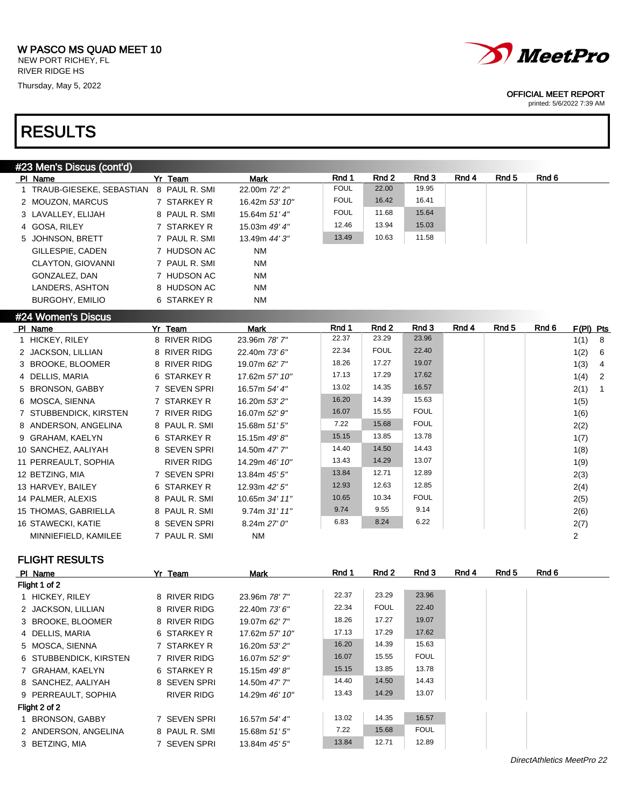RIVER RIDGE HS Thursday, May 5, 2022

## RESULTS



### OFFICIAL MEET REPORT

printed: 5/6/2022 7:39 AM

| #23 Men's Discus (cont'd)  |                   |                   |             |             |             |       |                  |                  |           |                         |
|----------------------------|-------------------|-------------------|-------------|-------------|-------------|-------|------------------|------------------|-----------|-------------------------|
| PI Name                    | Yr Team           | <b>Mark</b>       | Rnd 1       | Rnd 2       | Rnd 3       | Rnd 4 | Rnd <sub>5</sub> | Rnd 6            |           |                         |
| 1 TRAUB-GIESEKE, SEBASTIAN | 8 PAUL R. SMI     | 22.00m 72' 2"     | <b>FOUL</b> | 22.00       | 19.95       |       |                  |                  |           |                         |
| 2 MOUZON, MARCUS           | 7 STARKEY R       | 16.42m 53' 10"    | <b>FOUL</b> | 16.42       | 16.41       |       |                  |                  |           |                         |
| 3 LAVALLEY, ELIJAH         | 8 PAUL R. SMI     | 15.64m 51'4"      | <b>FOUL</b> | 11.68       | 15.64       |       |                  |                  |           |                         |
| 4 GOSA, RILEY              | 7 STARKEY R       | 15.03m 49' 4"     | 12.46       | 13.94       | 15.03       |       |                  |                  |           |                         |
| 5 JOHNSON, BRETT           | 7 PAUL R. SMI     | 13.49m 44' 3"     | 13.49       | 10.63       | 11.58       |       |                  |                  |           |                         |
| GILLESPIE, CADEN           | 7 HUDSON AC       | <b>NM</b>         |             |             |             |       |                  |                  |           |                         |
| <b>CLAYTON, GIOVANNI</b>   | 7 PAUL R. SMI     | <b>NM</b>         |             |             |             |       |                  |                  |           |                         |
| GONZALEZ, DAN              | 7 HUDSON AC       | <b>NM</b>         |             |             |             |       |                  |                  |           |                         |
| LANDERS, ASHTON            | 8 HUDSON AC       | <b>NM</b>         |             |             |             |       |                  |                  |           |                         |
| <b>BURGOHY, EMILIO</b>     | 6 STARKEY R       | <b>NM</b>         |             |             |             |       |                  |                  |           |                         |
| #24 Women's Discus         |                   |                   |             |             |             |       |                  |                  |           |                         |
| PI Name                    | Yr Team           | <b>Mark</b>       | Rnd 1       | Rnd 2       | Rnd 3       | Rnd 4 | Rnd <sub>5</sub> | Rnd <sub>6</sub> | F(PI) Pts |                         |
| 1 HICKEY, RILEY            | 8 RIVER RIDG      | 23.96m 78' 7"     | 22.37       | 23.29       | 23.96       |       |                  |                  | 1(1)      | 8                       |
| 2 JACKSON, LILLIAN         | 8 RIVER RIDG      | 22.40m 73' 6"     | 22.34       | <b>FOUL</b> | 22.40       |       |                  |                  | 1(2)      | 6                       |
| 3 BROOKE, BLOOMER          | 8 RIVER RIDG      | 19.07m 62' 7"     | 18.26       | 17.27       | 19.07       |       |                  |                  | 1(3)      | $\overline{\mathbf{4}}$ |
| 4 DELLIS, MARIA            | 6 STARKEY R       | 17.62m 57' 10"    | 17.13       | 17.29       | 17.62       |       |                  |                  | 1(4)      | 2                       |
| 5 BRONSON, GABBY           | 7 SEVEN SPRI      | 16.57m 54' 4"     | 13.02       | 14.35       | 16.57       |       |                  |                  | 2(1)      | $\mathbf{1}$            |
| 6 MOSCA, SIENNA            | 7 STARKEY R       | 16.20m 53' 2"     | 16.20       | 14.39       | 15.63       |       |                  |                  | 1(5)      |                         |
| 7 STUBBENDICK, KIRSTEN     | 7 RIVER RIDG      | 16.07m 52' 9"     | 16.07       | 15.55       | <b>FOUL</b> |       |                  |                  | 1(6)      |                         |
| 8 ANDERSON, ANGELINA       | 8 PAUL R. SMI     | 15.68m 51' 5"     | 7.22        | 15.68       | <b>FOUL</b> |       |                  |                  | 2(2)      |                         |
| 9 GRAHAM, KAELYN           | 6 STARKEY R       | 15.15m 49'8"      | 15.15       | 13.85       | 13.78       |       |                  |                  | 1(7)      |                         |
| 10 SANCHEZ, AALIYAH        | 8 SEVEN SPRI      | 14.50m 47' 7"     | 14.40       | 14.50       | 14.43       |       |                  |                  | 1(8)      |                         |
| 11 PERREAULT, SOPHIA       | <b>RIVER RIDG</b> | 14.29m 46' 10"    | 13.43       | 14.29       | 13.07       |       |                  |                  | 1(9)      |                         |
| 12 BETZING, MIA            | 7 SEVEN SPRI      | 13.84m 45' 5"     | 13.84       | 12.71       | 12.89       |       |                  |                  | 2(3)      |                         |
| 13 HARVEY, BAILEY          | 6 STARKEY R       | 12.93m 42' 5"     | 12.93       | 12.63       | 12.85       |       |                  |                  | 2(4)      |                         |
| 14 PALMER, ALEXIS          | 8 PAUL R. SMI     | 10.65m 34' 11"    | 10.65       | 10.34       | <b>FOUL</b> |       |                  |                  | 2(5)      |                         |
| 15 THOMAS, GABRIELLA       | 8 PAUL R. SMI     | 9.74m 31' 11"     | 9.74        | 9.55        | 9.14        |       |                  |                  | 2(6)      |                         |
| 16 STAWECKI, KATIE         | 8 SEVEN SPRI      | 8.24m 27' 0"      | 6.83        | 8.24        | 6.22        |       |                  |                  | 2(7)      |                         |
| MINNIEFIELD, KAMILEE       | 7 PAUL R. SMI     | <b>NM</b>         |             |             |             |       |                  |                  | 2         |                         |
| <b>FLIGHT RESULTS</b>      |                   |                   |             |             |             |       |                  |                  |           |                         |
| PI Name                    | Yr Team           | <b>Mark</b>       | Rnd 1       | Rnd 2       | Rnd 3       | Rnd 4 | Rnd 5            | Rnd 6            |           |                         |
| Flight 1 of 2              |                   |                   |             |             |             |       |                  |                  |           |                         |
| 1 HICKEY, RILEY            | 8 RIVER RIDG      | 23.96m 78'7"      | 22.37       | 23.29       | 23.96       |       |                  |                  |           |                         |
| 2 JACKSON LILLIAN          | 8 RIVER RIDG      | $22.40m$ $73'6''$ | 22.34       | <b>FOUL</b> | 22.40       |       |                  |                  |           |                         |

| 1 HICKEY, RILEY        | 8 RIVER RIDG  | 23.96m 78' 7"   | 22.37 | 23.29       | 23.96       |  |
|------------------------|---------------|-----------------|-------|-------------|-------------|--|
| 2 JACKSON, LILLIAN     | 8 RIVER RIDG  | 22.40m 73' 6"   | 22.34 | <b>FOUL</b> | 22.40       |  |
| 3 BROOKE, BLOOMER      | 8 RIVER RIDG  | 19.07m 62' 7"   | 18.26 | 17.27       | 19.07       |  |
| 4 DELLIS, MARIA        | 6 STARKEY R   | 17.62m 57' 10"  | 17.13 | 17.29       | 17.62       |  |
| 5 MOSCA, SIENNA        | 7 STARKEY R   | 16.20m 53' 2"   | 16.20 | 14.39       | 15.63       |  |
| 6 STUBBENDICK, KIRSTEN | 7 RIVER RIDG  | 16.07m 52' 9"   | 16.07 | 15.55       | <b>FOUL</b> |  |
| 7 GRAHAM, KAELYN       | 6 STARKEY R   | 15.15m 49'8"    | 15.15 | 13.85       | 13.78       |  |
| 8 SANCHEZ, AALIYAH     | 8 SEVEN SPRI  | 14.50m 47' 7"   | 14.40 | 14.50       | 14.43       |  |
| 9 PERREAULT, SOPHIA    | RIVER RIDG    | 14.29m 46' 10"  | 13.43 | 14.29       | 13.07       |  |
| Flight 2 of 2          |               |                 |       |             |             |  |
| 1 BRONSON, GABBY       | 7 SEVEN SPRI  | 16.57m 54' 4"   | 13.02 | 14.35       | 16.57       |  |
| 2 ANDERSON, ANGELINA   | 8 PAUL R. SMI | 15.68m $51'5''$ | 7.22  | 15.68       | <b>FOUL</b> |  |
| 3 BETZING, MIA         | 7 SEVEN SPRI  | 13.84m 45' 5"   | 13.84 | 12.71       | 12.89       |  |

DirectAthletics MeetPro 22